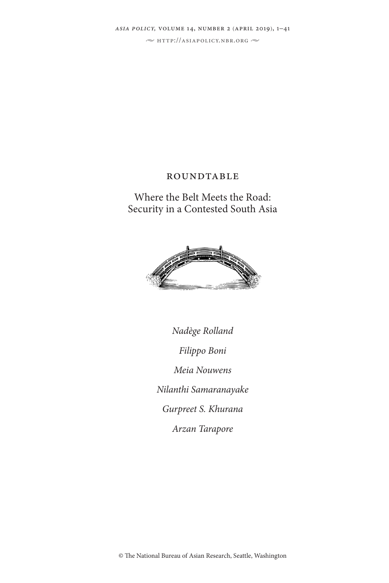*asia policy,* volume 14, number 2 (april 2019), 1–41

 $\sim$  http://asiapolicy.nbr.org  $\sim$ 

# **ROUNDTABLE**

Where the Belt Meets the Road: Security in a Contested South Asia



*Nadège Rolland Filippo Boni Meia Nouwens Nilanthi Samaranayake Gurpreet S. Khurana Arzan Tarapore*

© The National Bureau of Asian Research, Seattle, Washington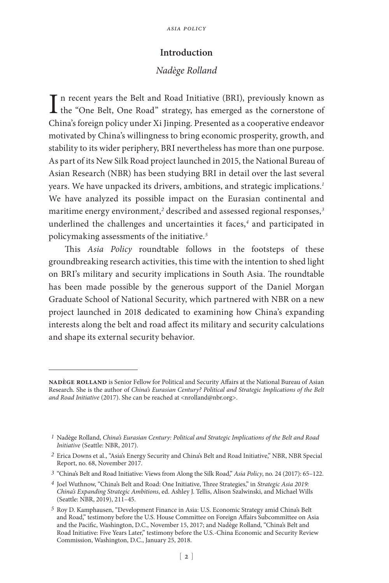# **Introduction**

# *Nadège Rolland*

In recent years the Belt and Road Initiative (BRI), previously known as<br>the "One Belt, One Road" strategy, has emerged as the cornerstone of n recent years the Belt and Road Initiative (BRI), previously known as China's foreign policy under Xi Jinping. Presented as a cooperative endeavor motivated by China's willingness to bring economic prosperity, growth, and stability to its wider periphery, BRI nevertheless has more than one purpose. As part of its New Silk Road project launched in 2015, the National Bureau of Asian Research (NBR) has been studying BRI in detail over the last several years. We have unpacked its drivers, ambitions, and strategic implications.*<sup>1</sup>* We have analyzed its possible impact on the Eurasian continental and maritime energy environment,*<sup>2</sup>* described and assessed regional responses,*<sup>3</sup>* underlined the challenges and uncertainties it faces,*<sup>4</sup>* and participated in policymaking assessments of the initiative.*<sup>5</sup>*

This *Asia Policy* roundtable follows in the footsteps of these groundbreaking research activities, this time with the intention to shed light on BRI's military and security implications in South Asia. The roundtable has been made possible by the generous support of the Daniel Morgan Graduate School of National Security, which partnered with NBR on a new project launched in 2018 dedicated to examining how China's expanding interests along the belt and road affect its military and security calculations and shape its external security behavior.

**nadège rolland** is Senior Fellow for Political and Security Affairs at the National Bureau of Asian Research. She is the author of *China's Eurasian Century? Political and Strategic Implications of the Belt*  and Road Initiative (2017). She can be reached at <nrolland@nbr.org>.

*<sup>1</sup>* Nadège Rolland, *China's Eurasian Century: Political and Strategic Implications of the Belt and Road Initiative* (Seattle: NBR, 2017).

*<sup>2</sup>* Erica Downs et al., "Asia's Energy Security and China's Belt and Road Initiative," NBR, NBR Special Report, no. 68, November 2017.

*<sup>3</sup>* "China's Belt and Road Initiative: Views from Along the Silk Road," *Asia Policy*, no. 24 (2017): 65–122.

*<sup>4</sup>* Joel Wuthnow, "China's Belt and Road: One Initiative, Three Strategies," in *Strategic Asia 2019: China's Expanding Strategic Ambitions*, ed. Ashley J. Tellis, Alison Szalwinski, and Michael Wills (Seattle: NBR, 2019), 211–45.

*<sup>5</sup>* Roy D. Kamphausen, "Development Finance in Asia: U.S. Economic Strategy amid China's Belt and Road," testimony before the U.S. House Committee on Foreign Affairs Subcommittee on Asia and the Pacific, Washington, D.C., November 15, 2017; and Nadège Rolland, "China's Belt and Road Initiative: Five Years Later," testimony before the U.S.-China Economic and Security Review Commission, Washington, D.C., January 25, 2018.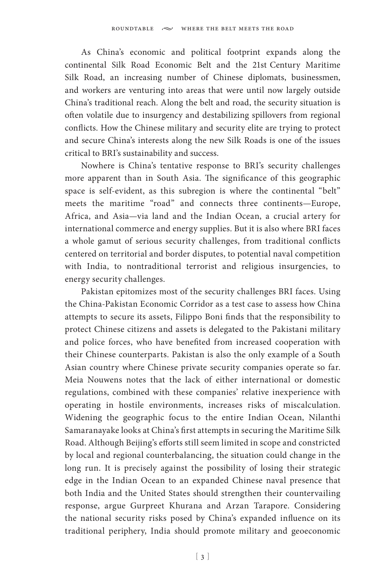As China's economic and political footprint expands along the continental Silk Road Economic Belt and the 21st Century Maritime Silk Road, an increasing number of Chinese diplomats, businessmen, and workers are venturing into areas that were until now largely outside China's traditional reach. Along the belt and road, the security situation is often volatile due to insurgency and destabilizing spillovers from regional conflicts. How the Chinese military and security elite are trying to protect and secure China's interests along the new Silk Roads is one of the issues critical to BRI's sustainability and success.

Nowhere is China's tentative response to BRI's security challenges more apparent than in South Asia. The significance of this geographic space is self-evident, as this subregion is where the continental "belt" meets the maritime "road" and connects three continents—Europe, Africa, and Asia—via land and the Indian Ocean, a crucial artery for international commerce and energy supplies. But it is also where BRI faces a whole gamut of serious security challenges, from traditional conflicts centered on territorial and border disputes, to potential naval competition with India, to nontraditional terrorist and religious insurgencies, to energy security challenges.

Pakistan epitomizes most of the security challenges BRI faces. Using the China-Pakistan Economic Corridor as a test case to assess how China attempts to secure its assets, Filippo Boni finds that the responsibility to protect Chinese citizens and assets is delegated to the Pakistani military and police forces, who have benefited from increased cooperation with their Chinese counterparts. Pakistan is also the only example of a South Asian country where Chinese private security companies operate so far. Meia Nouwens notes that the lack of either international or domestic regulations, combined with these companies' relative inexperience with operating in hostile environments, increases risks of miscalculation. Widening the geographic focus to the entire Indian Ocean, Nilanthi Samaranayake looks at China's first attempts in securing the Maritime Silk Road. Although Beijing's efforts still seem limited in scope and constricted by local and regional counterbalancing, the situation could change in the long run. It is precisely against the possibility of losing their strategic edge in the Indian Ocean to an expanded Chinese naval presence that both India and the United States should strengthen their countervailing response, argue Gurpreet Khurana and Arzan Tarapore. Considering the national security risks posed by China's expanded influence on its traditional periphery, India should promote military and geoeconomic

 $\begin{bmatrix} 3 \end{bmatrix}$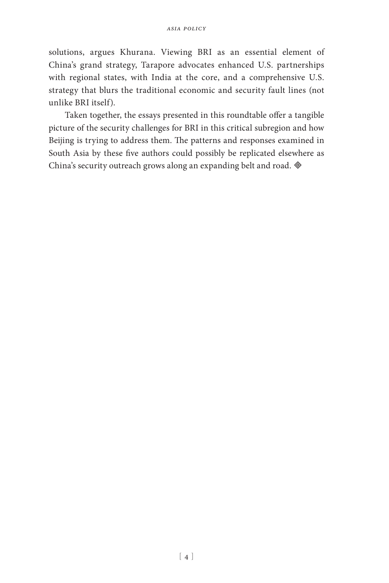solutions, argues Khurana. Viewing BRI as an essential element of China's grand strategy, Tarapore advocates enhanced U.S. partnerships with regional states, with India at the core, and a comprehensive U.S. strategy that blurs the traditional economic and security fault lines (not unlike BRI itself).

Taken together, the essays presented in this roundtable offer a tangible picture of the security challenges for BRI in this critical subregion and how Beijing is trying to address them. The patterns and responses examined in South Asia by these five authors could possibly be replicated elsewhere as China's security outreach grows along an expanding belt and road.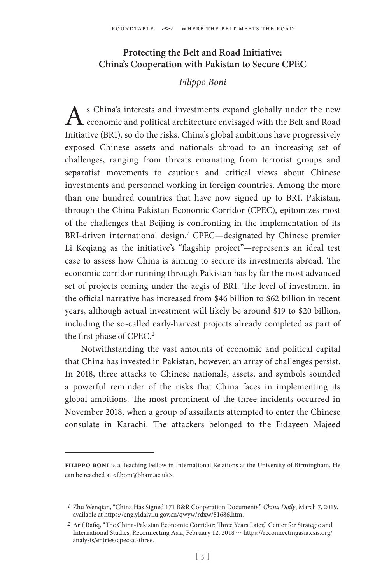# **Protecting the Belt and Road Initiative: China's Cooperation with Pakistan to Secure CPEC**

# *Filippo Boni*

s China's interests and investments expand globally under the new economic and political architecture envisaged with the Belt and Road Initiative (BRI), so do the risks. China's global ambitions have progressively exposed Chinese assets and nationals abroad to an increasing set of challenges, ranging from threats emanating from terrorist groups and separatist movements to cautious and critical views about Chinese investments and personnel working in foreign countries. Among the more than one hundred countries that have now signed up to BRI, Pakistan, through the China-Pakistan Economic Corridor (CPEC), epitomizes most of the challenges that Beijing is confronting in the implementation of its BRI-driven international design.*<sup>1</sup>* CPEC—designated by Chinese premier Li Keqiang as the initiative's "flagship project"—represents an ideal test case to assess how China is aiming to secure its investments abroad. The economic corridor running through Pakistan has by far the most advanced set of projects coming under the aegis of BRI. The level of investment in the official narrative has increased from \$46 billion to \$62 billion in recent years, although actual investment will likely be around \$19 to \$20 billion, including the so-called early-harvest projects already completed as part of the first phase of CPEC.*<sup>2</sup>*

Notwithstanding the vast amounts of economic and political capital that China has invested in Pakistan, however, an array of challenges persist. In 2018, three attacks to Chinese nationals, assets, and symbols sounded a powerful reminder of the risks that China faces in implementing its global ambitions. The most prominent of the three incidents occurred in November 2018, when a group of assailants attempted to enter the Chinese consulate in Karachi. The attackers belonged to the Fidayeen Majeed

**filippo boni** is a Teaching Fellow in International Relations at the University of Birmingham. He can be reached at [<f.boni@bham.ac.uk](mailto:f.boni@bham.ac.uk)>.

*<sup>1</sup>* Zhu Wenqian, "China Has Signed 171 B&R Cooperation Documents," *China Daily*, March 7, 2019, available at https://eng.yidaiyilu.gov.cn/qwyw/rdxw/81686.htm.

*<sup>2</sup>* Arif Rafiq, "The China-Pakistan Economic Corridor: Three Years Later," Center for Strategic and International Studies, Reconnecting Asia, February 12, 2018  $\sim$  https://reconnectingasia.csis.org/ analysis/entries/cpec-at-three.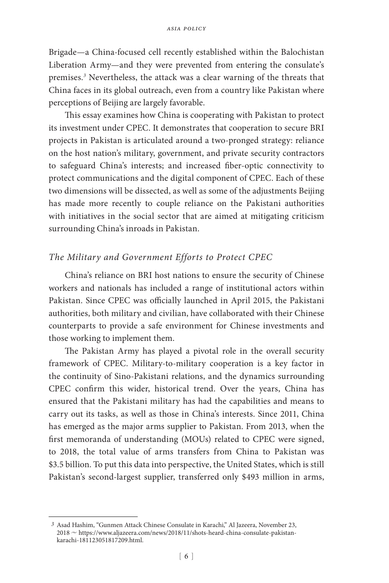Brigade—a China-focused cell recently established within the Balochistan Liberation Army—and they were prevented from entering the consulate's premises.*<sup>3</sup>* Nevertheless, the attack was a clear warning of the threats that China faces in its global outreach, even from a country like Pakistan where perceptions of Beijing are largely favorable.

This essay examines how China is cooperating with Pakistan to protect its investment under CPEC. It demonstrates that cooperation to secure BRI projects in Pakistan is articulated around a two-pronged strategy: reliance on the host nation's military, government, and private security contractors to safeguard China's interests; and increased fiber-optic connectivity to protect communications and the digital component of CPEC. Each of these two dimensions will be dissected, as well as some of the adjustments Beijing has made more recently to couple reliance on the Pakistani authorities with initiatives in the social sector that are aimed at mitigating criticism surrounding China's inroads in Pakistan.

# *The Military and Government Efforts to Protect CPEC*

China's reliance on BRI host nations to ensure the security of Chinese workers and nationals has included a range of institutional actors within Pakistan. Since CPEC was officially launched in April 2015, the Pakistani authorities, both military and civilian, have collaborated with their Chinese counterparts to provide a safe environment for Chinese investments and those working to implement them.

The Pakistan Army has played a pivotal role in the overall security framework of CPEC. Military-to-military cooperation is a key factor in the continuity of Sino-Pakistani relations, and the dynamics surrounding CPEC confirm this wider, historical trend. Over the years, China has ensured that the Pakistani military has had the capabilities and means to carry out its tasks, as well as those in China's interests. Since 2011, China has emerged as the major arms supplier to Pakistan. From 2013, when the first memoranda of understanding (MOUs) related to CPEC were signed, to 2018, the total value of arms transfers from China to Pakistan was \$3.5 billion. To put this data into perspective, the United States, which is still Pakistan's second-largest supplier, transferred only \$493 million in arms,

*<sup>3</sup>* Asad Hashim, "Gunmen Attack Chinese Consulate in Karachi," Al Jazeera, November 23,  $2018 \sim$  https://www.aljazeera.com/news/2018/11/shots-heard-china-consulate-pakistankarachi-181123051817209.html.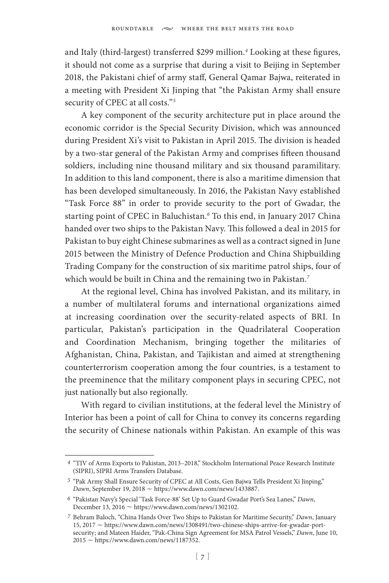and Italy (third-largest) transferred \$299 million.*<sup>4</sup>* Looking at these figures, it should not come as a surprise that during a visit to Beijing in September 2018, the Pakistani chief of army staff, General Qamar Bajwa, reiterated in a meeting with President Xi Jinping that "the Pakistan Army shall ensure security of CPEC at all costs."*<sup>5</sup>*

A key component of the security architecture put in place around the economic corridor is the Special Security Division, which was announced during President Xi's visit to Pakistan in April 2015. The division is headed by a two-star general of the Pakistan Army and comprises fifteen thousand soldiers, including nine thousand military and six thousand paramilitary. In addition to this land component, there is also a maritime dimension that has been developed simultaneously. In 2016, the Pakistan Navy established "Task Force 88" in order to provide security to the port of Gwadar, the starting point of CPEC in Baluchistan.*<sup>6</sup>* To this end, in January 2017 China handed over two ships to the Pakistan Navy. This followed a deal in 2015 for Pakistan to buy eight Chinese submarines as well as a contract signed in June 2015 between the Ministry of Defence Production and China Shipbuilding Trading Company for the construction of six maritime patrol ships, four of which would be built in China and the remaining two in Pakistan.*<sup>7</sup>*

At the regional level, China has involved Pakistan, and its military, in a number of multilateral forums and international organizations aimed at increasing coordination over the security-related aspects of BRI. In particular, Pakistan's participation in the Quadrilateral Cooperation and Coordination Mechanism, bringing together the militaries of Afghanistan, China, Pakistan, and Tajikistan and aimed at strengthening counterterrorism cooperation among the four countries, is a testament to the preeminence that the military component plays in securing CPEC, not just nationally but also regionally.

With regard to civilian institutions, at the federal level the Ministry of Interior has been a point of call for China to convey its concerns regarding the security of Chinese nationals within Pakistan. An example of this was

*<sup>4</sup>* "TIV of Arms Exports to Pakistan, 2013–2018," Stockholm International Peace Research Institute (SIPRI), SIPRI Arms Transfers Database.

*<sup>5</sup>* "Pak Army Shall Ensure Security of CPEC at All Costs, Gen Bajwa Tells President Xi Jinping," *Dawn*, September 19, 2018 ~ https://www.dawn.com/news/1433887.

*<sup>6</sup>* "Pakistan Navy's Special 'Task Force-88' Set Up to Guard Gwadar Port's Sea Lanes," *Dawn*, December 13, 2016  $\sim$  https://www.dawn.com/news/1302102.

*<sup>7</sup>* Behram Baloch, "China Hands Over Two Ships to Pakistan for Maritime Security," *Dawn*, January 15, 2017  $\sim$  https://www.dawn.com/news/1308491/two-chinese-ships-arrive-for-gwadar-portsecurity; and Mateen Haider, "Pak-China Sign Agreement for MSA Patrol Vessels," *Dawn*, June 10,  $2015 \approx$  https://www.dawn.com/news/1187352.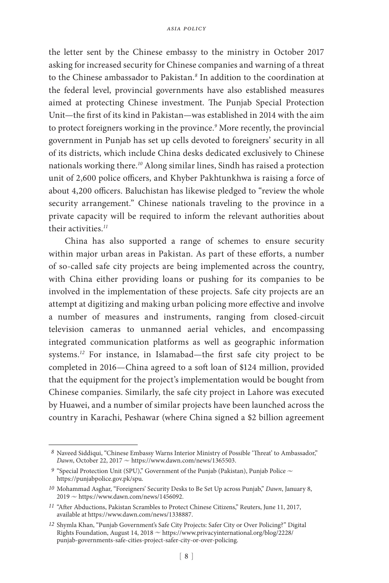the letter sent by the Chinese embassy to the ministry in October 2017 asking for increased security for Chinese companies and warning of a threat to the Chinese ambassador to Pakistan.*<sup>8</sup>* In addition to the coordination at the federal level, provincial governments have also established measures aimed at protecting Chinese investment. The Punjab Special Protection Unit—the first of its kind in Pakistan—was established in 2014 with the aim to protect foreigners working in the province.*<sup>9</sup>* More recently, the provincial government in Punjab has set up cells devoted to foreigners' security in all of its districts, which include China desks dedicated exclusively to Chinese nationals working there.*<sup>10</sup>* Along similar lines, Sindh has raised a protection unit of 2,600 police officers, and Khyber Pakhtunkhwa is raising a force of about 4,200 officers. Baluchistan has likewise pledged to "review the whole security arrangement." Chinese nationals traveling to the province in a private capacity will be required to inform the relevant authorities about their activities.*<sup>11</sup>*

China has also supported a range of schemes to ensure security within major urban areas in Pakistan. As part of these efforts, a number of so-called safe city projects are being implemented across the country, with China either providing loans or pushing for its companies to be involved in the implementation of these projects. Safe city projects are an attempt at digitizing and making urban policing more effective and involve a number of measures and instruments, ranging from closed-circuit television cameras to unmanned aerial vehicles, and encompassing integrated communication platforms as well as geographic information systems.*<sup>12</sup>* For instance, in Islamabad—the first safe city project to be completed in 2016—China agreed to a soft loan of \$124 million, provided that the equipment for the project's implementation would be bought from Chinese companies. Similarly, the safe city project in Lahore was executed by Huawei, and a number of similar projects have been launched across the country in Karachi, Peshawar (where China signed a \$2 billion agreement

*<sup>8</sup>* Naveed Siddiqui, "Chinese Embassy Warns Interior Ministry of Possible 'Threat' to Ambassador," *Dawn*, October 22, 2017 ≈ https://www.dawn.com/news/1365503.

<sup>&</sup>lt;sup>9</sup> "Special Protection Unit (SPU)," Government of the Punjab (Pakistan), Punjab Police  $\sim$ https://punjabpolice.gov.pk/spu.

*<sup>10</sup>* Mohammad Asghar, "Foreigners' Security Desks to Be Set Up across Punjab," *Dawn*, January 8,  $2019 \approx \text{https://www.dawn.com/news/1456092.}$ 

*<sup>11</sup>* "After Abductions, Pakistan Scrambles to Protect Chinese Citizens," Reuters, June 11, 2017, available at https://www.dawn.com/news/1338887.

*<sup>12</sup>* Shymla Khan, "Punjab Government's Safe City Projects: Safer City or Over Policing?" Digital Rights Foundation, August 14, 2018 ~ https://www.privacyinternational.org/blog/2228/ punjab-governments-safe-cities-project-safer-city-or-over-policing.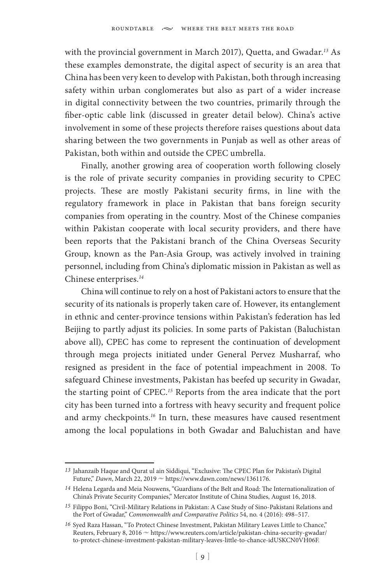with the provincial government in March 2017), Quetta, and Gwadar.*<sup>13</sup>* As these examples demonstrate, the digital aspect of security is an area that China has been very keen to develop with Pakistan, both through increasing safety within urban conglomerates but also as part of a wider increase in digital connectivity between the two countries, primarily through the fiber-optic cable link (discussed in greater detail below). China's active involvement in some of these projects therefore raises questions about data sharing between the two governments in Punjab as well as other areas of Pakistan, both within and outside the CPEC umbrella.

Finally, another growing area of cooperation worth following closely is the role of private security companies in providing security to CPEC projects. These are mostly Pakistani security firms, in line with the regulatory framework in place in Pakistan that bans foreign security companies from operating in the country. Most of the Chinese companies within Pakistan cooperate with local security providers, and there have been reports that the Pakistani branch of the China Overseas Security Group, known as the Pan-Asia Group, was actively involved in training personnel, including from China's diplomatic mission in Pakistan as well as Chinese enterprises.*<sup>14</sup>*

China will continue to rely on a host of Pakistani actors to ensure that the security of its nationals is properly taken care of. However, its entanglement in ethnic and center-province tensions within Pakistan's federation has led Beijing to partly adjust its policies. In some parts of Pakistan (Baluchistan above all), CPEC has come to represent the continuation of development through mega projects initiated under General Pervez Musharraf, who resigned as president in the face of potential impeachment in 2008. To safeguard Chinese investments, Pakistan has beefed up security in Gwadar, the starting point of CPEC.*<sup>15</sup>* Reports from the area indicate that the port city has been turned into a fortress with heavy security and frequent police and army checkpoints.*<sup>16</sup>* In turn, these measures have caused resentment among the local populations in both Gwadar and Baluchistan and have

*<sup>13</sup>* Jahanzaib Haque and Qurat ul ain Siddiqui, "Exclusive: The CPEC Plan for Pakistan's Digital Future," *Dawn*, March 22, 2019  $\sim$  https://www.dawn.com/news/1361176.

*<sup>14</sup>* Helena Legarda and Meia Nouwens, "Guardians of the Belt and Road: The Internationalization of China's Private Security Companies," Mercator Institute of China Studies, August 16, 2018.

*<sup>15</sup>* Filippo Boni, "Civil-Military Relations in Pakistan: A Case Study of Sino-Pakistani Relations and the Port of Gwadar," *Commonwealth and Comparative Politics* 54, no. 4 (2016): 498–517.

*<sup>16</sup>* Syed Raza Hassan, "To Protect Chinese Investment, Pakistan Military Leaves Little to Chance," Reuters, February 8, 2016  $\sim$  https://www.reuters.com/article/pakistan-china-security-gwadar/ to-protect-chinese-investment-pakistan-military-leaves-little-to-chance-idUSKCN0VH06F.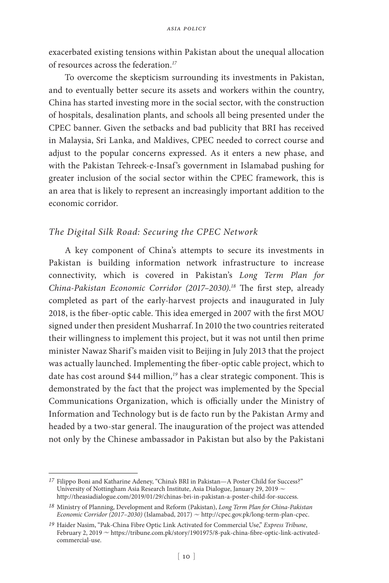exacerbated existing tensions within Pakistan about the unequal allocation of resources across the federation.*<sup>17</sup>*

To overcome the skepticism surrounding its investments in Pakistan, and to eventually better secure its assets and workers within the country, China has started investing more in the social sector, with the construction of hospitals, desalination plants, and schools all being presented under the CPEC banner. Given the setbacks and bad publicity that BRI has received in Malaysia, Sri Lanka, and Maldives, CPEC needed to correct course and adjust to the popular concerns expressed. As it enters a new phase, and with the Pakistan Tehreek-e-Insaf's government in Islamabad pushing for greater inclusion of the social sector within the CPEC framework, this is an area that is likely to represent an increasingly important addition to the economic corridor.

### *The Digital Silk Road: Securing the CPEC Network*

A key component of China's attempts to secure its investments in Pakistan is building information network infrastructure to increase connectivity, which is covered in Pakistan's *Long Term Plan for China-Pakistan Economic Corridor (2017–2030)*. *<sup>18</sup>* The first step, already completed as part of the early-harvest projects and inaugurated in July 2018, is the fiber-optic cable. This idea emerged in 2007 with the first MOU signed under then president Musharraf. In 2010 the two countries reiterated their willingness to implement this project, but it was not until then prime minister Nawaz Sharif's maiden visit to Beijing in July 2013 that the project was actually launched. Implementing the fiber-optic cable project, which to date has cost around \$44 million,*<sup>19</sup>* has a clear strategic component. This is demonstrated by the fact that the project was implemented by the Special Communications Organization, which is officially under the Ministry of Information and Technology but is de facto run by the Pakistan Army and headed by a two-star general. The inauguration of the project was attended not only by the Chinese ambassador in Pakistan but also by the Pakistani

*<sup>17</sup>* Filippo Boni and Katharine Adeney, "China's BRI in Pakistan—A Poster Child for Success?" University of Nottingham Asia Research Institute, Asia Dialogue, January 29, 2019 ~ http://theasiadialogue.com/2019/01/29/chinas-bri-in-pakistan-a-poster-child-for-success.

*<sup>18</sup>* Ministry of Planning, Development and Reform (Pakistan), *Long Term Plan for China-Pakistan Economic Corridor (2017–2030)* (Islamabad, 2017)  $\sim$  http://cpec.gov.pk/long-term-plan-cpec.

*<sup>19</sup>* Haider Nasim, "Pak-China Fibre Optic Link Activated for Commercial Use," *Express Tribune*, February 2, 2019  $\sim$  https://tribune.com.pk/story/1901975/8-pak-china-fibre-optic-link-activatedcommercial-use.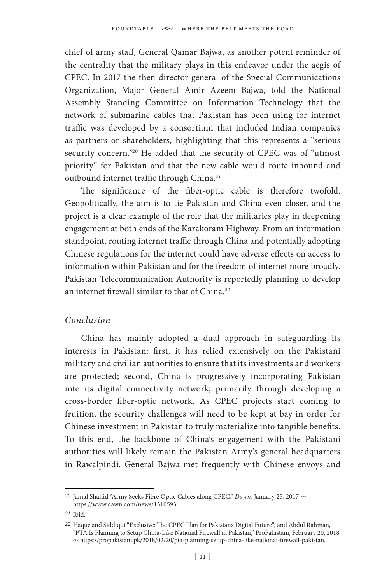chief of army staff, General Qamar Bajwa, as another potent reminder of the centrality that the military plays in this endeavor under the aegis of CPEC. In 2017 the then director general of the Special Communications Organization, Major General Amir Azeem Bajwa, told the National Assembly Standing Committee on Information Technology that the network of submarine cables that Pakistan has been using for internet traffic was developed by a consortium that included Indian companies as partners or shareholders, highlighting that this represents a "serious security concern."*<sup>20</sup>* He added that the security of CPEC was of "utmost priority" for Pakistan and that the new cable would route inbound and outbound internet traffic through China.*<sup>21</sup>*

The significance of the fiber-optic cable is therefore twofold. Geopolitically, the aim is to tie Pakistan and China even closer, and the project is a clear example of the role that the militaries play in deepening engagement at both ends of the Karakoram Highway. From an information standpoint, routing internet traffic through China and potentially adopting Chinese regulations for the internet could have adverse effects on access to information within Pakistan and for the freedom of internet more broadly. Pakistan Telecommunication Authority is reportedly planning to develop an internet firewall similar to that of China.*<sup>22</sup>*

#### *Conclusion*

China has mainly adopted a dual approach in safeguarding its interests in Pakistan: first, it has relied extensively on the Pakistani military and civilian authorities to ensure that its investments and workers are protected; second, China is progressively incorporating Pakistan into its digital connectivity network, primarily through developing a cross-border fiber-optic network. As CPEC projects start coming to fruition, the security challenges will need to be kept at bay in order for Chinese investment in Pakistan to truly materialize into tangible benefits. To this end, the backbone of China's engagement with the Pakistani authorities will likely remain the Pakistan Army's general headquarters in Rawalpindi. General Bajwa met frequently with Chinese envoys and

*<sup>20</sup>* Jamal Shahid "Army Seeks Fibre Optic Cables along CPEC," *Dawn*, January 25, 2017 <sup>u</sup> https://www.dawn.com/news/1310593.

*<sup>21</sup>* Ibid.

*<sup>22</sup>* Haque and Siddiqui "Exclusive: The CPEC Plan for Pakistan's Digital Future"; and Abdul Rahman, "PTA Is Planning to Setup China-Like National Firewall in Pakistan," ProPakistani, February 20, 2018  $\sim$  https://propakistani.pk/2018/02/20/pta-planning-setup-china-like-national-firewall-pakistan.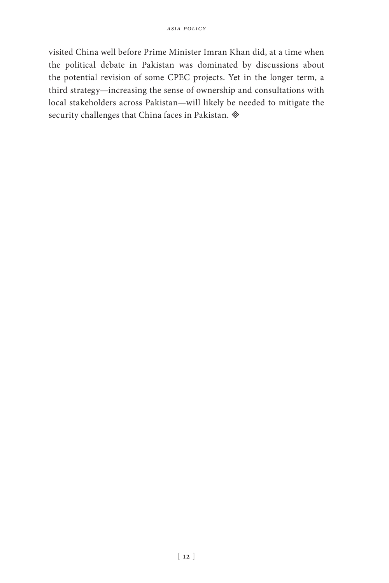visited China well before Prime Minister Imran Khan did, at a time when the political debate in Pakistan was dominated by discussions about the potential revision of some CPEC projects. Yet in the longer term, a third strategy—increasing the sense of ownership and consultations with local stakeholders across Pakistan—will likely be needed to mitigate the security challenges that China faces in Pakistan.  $\textcircled{\small{*}}$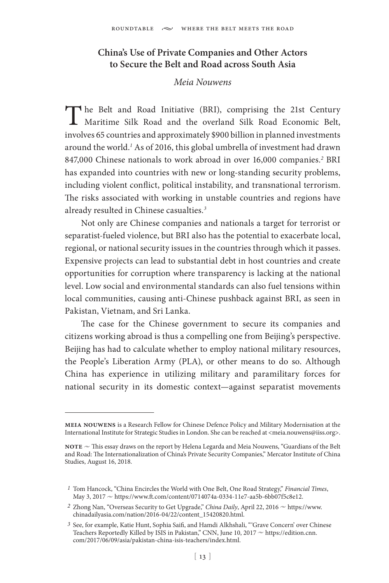# **China's Use of Private Companies and Other Actors to Secure the Belt and Road across South Asia**

# *Meia Nouwens*

The Belt and Road Initiative (BRI), comprising the 21st Century<br>Maritime Silk Road and the overland Silk Road Economic Belt, involves 65 countries and approximately \$900 billion in planned investments around the world.*<sup>1</sup>* As of 2016, this global umbrella of investment had drawn 847,000 Chinese nationals to work abroad in over 16,000 companies.*<sup>2</sup>* BRI has expanded into countries with new or long-standing security problems, including violent conflict, political instability, and transnational terrorism. The risks associated with working in unstable countries and regions have already resulted in Chinese casualties.*<sup>3</sup>*

Not only are Chinese companies and nationals a target for terrorist or separatist-fueled violence, but BRI also has the potential to exacerbate local, regional, or national security issues in the countries through which it passes. Expensive projects can lead to substantial debt in host countries and create opportunities for corruption where transparency is lacking at the national level. Low social and environmental standards can also fuel tensions within local communities, causing anti-Chinese pushback against BRI, as seen in Pakistan, Vietnam, and Sri Lanka.

The case for the Chinese government to secure its companies and citizens working abroad is thus a compelling one from Beijing's perspective. Beijing has had to calculate whether to employ national military resources, the People's Liberation Army (PLA), or other means to do so. Although China has experience in utilizing military and paramilitary forces for national security in its domestic context—against separatist movements

**meia nouwens** is a Research Fellow for Chinese Defence Policy and Military Modernisation at the International Institute for Strategic Studies in London. She can be reached at <meia.nouwens@iiss.org>.

**note** u This essay draws on the report by Helena Legarda and Meia Nouwens, "Guardians of the Belt and Road: The Internationalization of China's Private Security Companies," Mercator Institute of China Studies, August 16, 2018.

*<sup>1</sup>* Tom Hancock, "China Encircles the World with One Belt, One Road Strategy," *Financial Times*, May 3, 2017  $\sim$  https://www.ft.com/content/0714074a-0334-11e7-aa5b-6bb07f5c8e12.

<sup>&</sup>lt;sup>2</sup> Zhong Nan, "Overseas Security to Get Upgrade," *China Daily*, April 22, 2016  $\sim$  https://www. chinadailyasia.com/nation/2016-04/22/content\_15420820.html.

*<sup>3</sup>* See, for example, Katie Hunt, Sophia Saifi, and Hamdi Alkhshali, "'Grave Concern' over Chinese Teachers Reportedly Killed by ISIS in Pakistan," CNN, June 10, 2017  $\sim$  https://edition.cnn. com/2017/06/09/asia/pakistan-china-isis-teachers/index.html.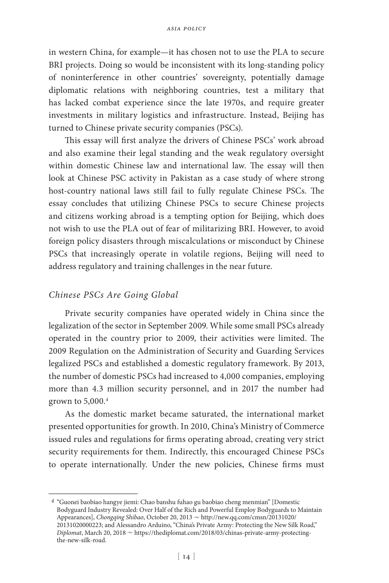in western China, for example—it has chosen not to use the PLA to secure BRI projects. Doing so would be inconsistent with its long-standing policy of noninterference in other countries' sovereignty, potentially damage diplomatic relations with neighboring countries, test a military that has lacked combat experience since the late 1970s, and require greater investments in military logistics and infrastructure. Instead, Beijing has turned to Chinese private security companies (PSCs).

This essay will first analyze the drivers of Chinese PSCs' work abroad and also examine their legal standing and the weak regulatory oversight within domestic Chinese law and international law. The essay will then look at Chinese PSC activity in Pakistan as a case study of where strong host-country national laws still fail to fully regulate Chinese PSCs. The essay concludes that utilizing Chinese PSCs to secure Chinese projects and citizens working abroad is a tempting option for Beijing, which does not wish to use the PLA out of fear of militarizing BRI. However, to avoid foreign policy disasters through miscalculations or misconduct by Chinese PSCs that increasingly operate in volatile regions, Beijing will need to address regulatory and training challenges in the near future.

## *Chinese PSCs Are Going Global*

Private security companies have operated widely in China since the legalization of the sector in September 2009. While some small PSCs already operated in the country prior to 2009, their activities were limited. The 2009 Regulation on the Administration of Security and Guarding Services legalized PSCs and established a domestic regulatory framework. By 2013, the number of domestic PSCs had increased to 4,000 companies, employing more than 4.3 million security personnel, and in 2017 the number had grown to 5,000.*<sup>4</sup>*

As the domestic market became saturated, the international market presented opportunities for growth. In 2010, China's Ministry of Commerce issued rules and regulations for firms operating abroad, creating very strict security requirements for them. Indirectly, this encouraged Chinese PSCs to operate internationally. Under the new policies, Chinese firms must

*<sup>4</sup>* "Guonei baobiao hangye jiemi: Chao banshu fuhao gu baobiao cheng menmian" [Domestic Bodyguard Industry Revealed: Over Half of the Rich and Powerful Employ Bodyguards to Maintain Appearances], *Chongqing Shibao*, October 20, 2013 ~ http://new.qq.com/cmsn/20131020/ 20131020000223; and Alessandro Arduino, "China's Private Army: Protecting the New Silk Road," *Diplomat*, March 20, 2018  $\sim$  [https://thediplomat.com/2018/03/chinas-private-army-protecting](https://thediplomat.com/2018/03/chinas-private-army-protecting-the-new-silk-road/)[the-new-silk-road.](https://thediplomat.com/2018/03/chinas-private-army-protecting-the-new-silk-road/)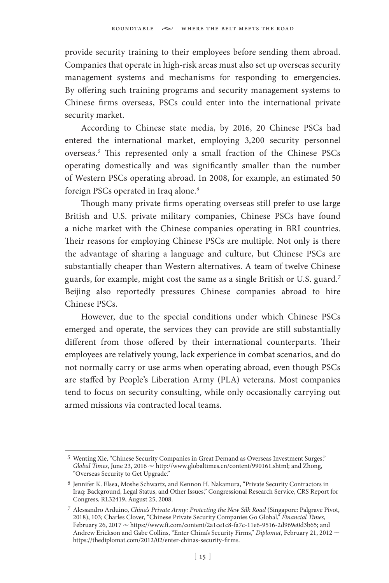provide security training to their employees before sending them abroad. Companies that operate in high-risk areas must also set up overseas security management systems and mechanisms for responding to emergencies. By offering such training programs and security management systems to Chinese firms overseas, PSCs could enter into the international private security market.

According to Chinese state media, by 2016, 20 Chinese PSCs had entered the international market, employing 3,200 security personnel overseas.*<sup>5</sup>* This represented only a small fraction of the Chinese PSCs operating domestically and was significantly smaller than the number of Western PSCs operating abroad. In 2008, for example, an estimated 50 foreign PSCs operated in Iraq alone.*<sup>6</sup>*

Though many private firms operating overseas still prefer to use large British and U.S. private military companies, Chinese PSCs have found a niche market with the Chinese companies operating in BRI countries. Their reasons for employing Chinese PSCs are multiple. Not only is there the advantage of sharing a language and culture, but Chinese PSCs are substantially cheaper than Western alternatives. A team of twelve Chinese guards, for example, might cost the same as a single British or U.S. guard.*<sup>7</sup>* Beijing also reportedly pressures Chinese companies abroad to hire Chinese PSCs.

However, due to the special conditions under which Chinese PSCs emerged and operate, the services they can provide are still substantially different from those offered by their international counterparts. Their employees are relatively young, lack experience in combat scenarios, and do not normally carry or use arms when operating abroad, even though PSCs are staffed by People's Liberation Army (PLA) veterans. Most companies tend to focus on security consulting, while only occasionally carrying out armed missions via contracted local teams.

*<sup>5</sup>* Wenting Xie, "Chinese Security Companies in Great Demand as Overseas Investment Surges," *Global Times*, June 23, 2016  $\sim$  http://www.globaltimes.cn/content/990161.shtml; and Zhong, "Overseas Security to Get Upgrade."

*<sup>6</sup>* Jennifer K. Elsea, Moshe Schwartz, and Kennon H. Nakamura, "Private Security Contractors in Iraq: Background, Legal Status, and Other Issues," Congressional Research Service, CRS Report for Congress, RL32419, August 25, 2008.

*<sup>7</sup>* Alessandro Arduino, *China's Private Army: Protecting the New Silk Road* (Singapore: Palgrave Pivot, 2018), 103; Charles Clover, "Chinese Private Security Companies Go Global," *Financial Times*, February 26, 2017  $\sim$  https://www.ft.com/content/2a1ce1c8-fa7c-11e6-9516-2d969e0d3b65; and Andrew Erickson and Gabe Collins, "Enter China's Security Firms," *Diplomat*, February 21, 2012  $\sim$ https://thediplomat.com/2012/02/enter-chinas-security-firms.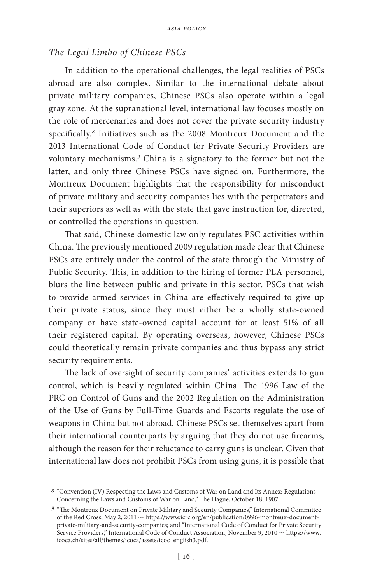# *The Legal Limbo of Chinese PSCs*

In addition to the operational challenges, the legal realities of PSCs abroad are also complex. Similar to the international debate about private military companies, Chinese PSCs also operate within a legal gray zone. At the supranational level, international law focuses mostly on the role of mercenaries and does not cover the private security industry specifically.*<sup>8</sup>* Initiatives such as the 2008 Montreux Document and the 2013 International Code of Conduct for Private Security Providers are voluntary mechanisms.*<sup>9</sup>* China is a signatory to the former but not the latter, and only three Chinese PSCs have signed on. Furthermore, the Montreux Document highlights that the responsibility for misconduct of private military and security companies lies with the perpetrators and their superiors as well as with the state that gave instruction for, directed, or controlled the operations in question.

That said, Chinese domestic law only regulates PSC activities within China. The previously mentioned 2009 regulation made clear that Chinese PSCs are entirely under the control of the state through the Ministry of Public Security. This, in addition to the hiring of former PLA personnel, blurs the line between public and private in this sector. PSCs that wish to provide armed services in China are effectively required to give up their private status, since they must either be a wholly state-owned company or have state-owned capital account for at least 51% of all their registered capital. By operating overseas, however, Chinese PSCs could theoretically remain private companies and thus bypass any strict security requirements.

The lack of oversight of security companies' activities extends to gun control, which is heavily regulated within China. The 1996 Law of the PRC on Control of Guns and the 2002 Regulation on the Administration of the Use of Guns by Full-Time Guards and Escorts regulate the use of weapons in China but not abroad. Chinese PSCs set themselves apart from their international counterparts by arguing that they do not use firearms, although the reason for their reluctance to carry guns is unclear. Given that international law does not prohibit PSCs from using guns, it is possible that

*<sup>8</sup>* "Convention (IV) Respecting the Laws and Customs of War on Land and Its Annex: Regulations Concerning the Laws and Customs of War on Land," The Hague, October 18, 1907.

*<sup>9</sup>* "The Montreux Document on Private Military and Security Companies," International Committee of the Red Cross, May 2, 2011  $\sim$  https://www.icrc.org/en/publication/0996-montreux-documentprivate-military-and-security-companies; and "International Code of Conduct for Private Security Service Providers," International Code of Conduct Association, November 9, 2010  $\sim$  https://www. icoca.ch/sites/all/themes/icoca/assets/icoc\_english3.pdf.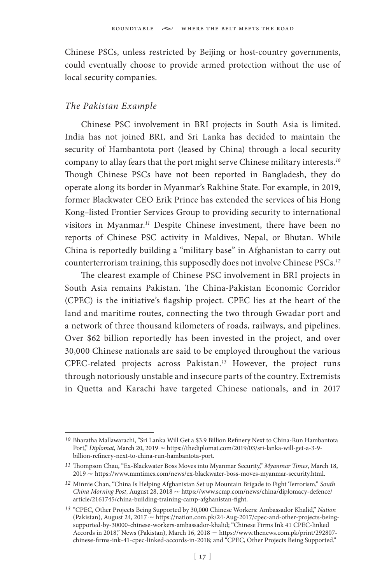Chinese PSCs, unless restricted by Beijing or host-country governments, could eventually choose to provide armed protection without the use of local security companies.

## *The Pakistan Example*

Chinese PSC involvement in BRI projects in South Asia is limited. India has not joined BRI, and Sri Lanka has decided to maintain the security of Hambantota port (leased by China) through a local security company to allay fears that the port might serve Chinese military interests.*<sup>10</sup>* Though Chinese PSCs have not been reported in Bangladesh, they do operate along its border in Myanmar's Rakhine State. For example, in 2019, former Blackwater CEO Erik Prince has extended the services of his Hong Kong–listed Frontier Services Group to providing security to international visitors in Myanmar.*<sup>11</sup>* Despite Chinese investment, there have been no reports of Chinese PSC activity in Maldives, Nepal, or Bhutan. While China is reportedly building a "military base" in Afghanistan to carry out counterterrorism training, this supposedly does not involve Chinese PSCs.*<sup>12</sup>*

The clearest example of Chinese PSC involvement in BRI projects in South Asia remains Pakistan. The China-Pakistan Economic Corridor (CPEC) is the initiative's flagship project. CPEC lies at the heart of the land and maritime routes, connecting the two through Gwadar port and a network of three thousand kilometers of roads, railways, and pipelines. Over \$62 billion reportedly has been invested in the project, and over 30,000 Chinese nationals are said to be employed throughout the various CPEC-related projects across Pakistan.*<sup>13</sup>* However, the project runs through notoriously unstable and insecure parts of the country. Extremists in Quetta and Karachi have targeted Chinese nationals, and in 2017

*<sup>10</sup>* Bharatha Mallawarachi, "Sri Lanka Will Get a \$3.9 Billion Refinery Next to China-Run Hambantota Port," *Diplomat*, March 20, 2019  $\sim$  https://thediplomat.com/2019/03/sri-lanka-will-get-a-3-9billion-refinery-next-to-china-run-hambantota-port.

*<sup>11</sup>* Thompson Chau, "Ex-Blackwater Boss Moves into Myanmar Security," *Myanmar Times*, March 18,  $2019 \approx$  https://www.mmtimes.com/news/ex-blackwater-boss-moves-myanmar-security.html.

*<sup>12</sup>* Minnie Chan, "China Is Helping Afghanistan Set up Mountain Brigade to Fight Terrorism," *South China Morning Post, August 28, 2018*  $\sim$  https://www.scmp.com/news/china/diplomacy-defence/ article/2161745/china-building-training-camp-afghanistan-fight.

*<sup>13</sup>* "CPEC, Other Projects Being Supported by 30,000 Chinese Workers: Ambassador Khalid," *Nation* (Pakistan), August 24, 2017 ~ https://nation.com.pk/24-Aug-2017/cpec-and-other-projects-beingsupported-by-30000-chinese-workers-ambassador-khalid; "Chinese Firms Ink 41 CPEC-linked Accords in 2018," News (Pakistan), March 16, 2018  $\sim$  https://www.thenews.com.pk/print/292807chinese-firms-ink-41-cpec-linked-accords-in-2018; and "CPEC, Other Projects Being Supported."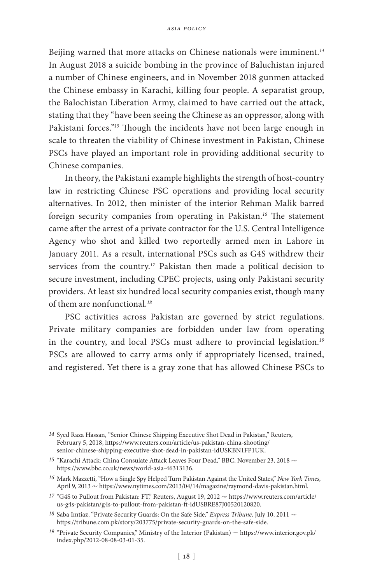Beijing warned that more attacks on Chinese nationals were imminent.*<sup>14</sup>* In August 2018 a suicide bombing in the province of Baluchistan injured a number of Chinese engineers, and in November 2018 gunmen attacked the Chinese embassy in Karachi, killing four people. A separatist group, the Balochistan Liberation Army, claimed to have carried out the attack, stating that they "have been seeing the Chinese as an oppressor, along with Pakistani forces."*<sup>15</sup>* Though the incidents have not been large enough in scale to threaten the viability of Chinese investment in Pakistan, Chinese PSCs have played an important role in providing additional security to Chinese companies.

In theory, the Pakistani example highlights the strength of host-country law in restricting Chinese PSC operations and providing local security alternatives. In 2012, then minister of the interior Rehman Malik barred foreign security companies from operating in Pakistan.*<sup>16</sup>* The statement came after the arrest of a private contractor for the U.S. Central Intelligence Agency who shot and killed two reportedly armed men in Lahore in January 2011. As a result, international PSCs such as G4S withdrew their services from the country.*<sup>17</sup>* Pakistan then made a political decision to secure investment, including CPEC projects, using only Pakistani security providers. At least six hundred local security companies exist, though many of them are nonfunctional.*<sup>18</sup>*

PSC activities across Pakistan are governed by strict regulations. Private military companies are forbidden under law from operating in the country, and local PSCs must adhere to provincial legislation.*<sup>19</sup>* PSCs are allowed to carry arms only if appropriately licensed, trained, and registered. Yet there is a gray zone that has allowed Chinese PSCs to

*<sup>14</sup>* Syed Raza Hassan, "Senior Chinese Shipping Executive Shot Dead in Pakistan," Reuters, February 5, 2018, https://www.reuters.com/article/us-pakistan-china-shooting/ senior-chinese-shipping-executive-shot-dead-in-pakistan-idUSKBN1FP1UK.

<sup>&</sup>lt;sup>15</sup> "Karachi Attack: China Consulate Attack Leaves Four Dead," BBC, November 23, 2018  $\sim$ https://www.bbc.co.uk/news/world-asia-46313136.

*<sup>16</sup>* Mark Mazzetti, "How a Single Spy Helped Turn Pakistan Against the United States," *New York Times*, April 9, 2013 ~ https://www.nytimes.com/2013/04/14/magazine/raymond-davis-pakistan.html.

<sup>&</sup>lt;sup>17</sup> "G4S to Pullout from Pakistan: FT," Reuters, August 19, 2012  $\sim$  https://www.reuters.com/article/ us-g4s-pakistan/g4s-to-pullout-from-pakistan-ft-idUSBRE87J00520120820.

*<sup>18</sup>* Saba Imtiaz, "Private Security Guards: On the Safe Side," *Express Tribune*, July 10, 2011 ~ https://tribune.com.pk/story/203775/private-security-guards-on-the-safe-side.

 $^{19}$  "Private Security Companies," Ministry of the Interior (Pakistan)  $\sim$  https://www.interior.gov.pk/ index.php/2012-08-08-03-01-35.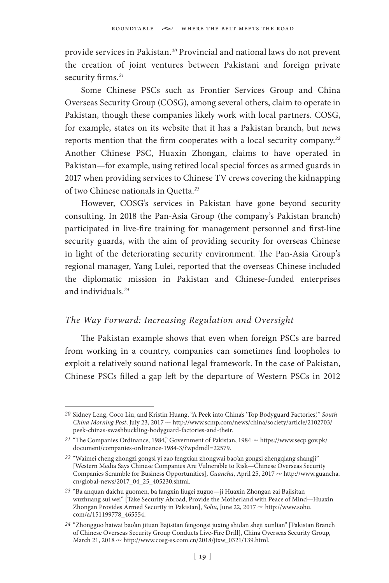provide services in Pakistan.*<sup>20</sup>* Provincial and national laws do not prevent the creation of joint ventures between Pakistani and foreign private security firms.*<sup>21</sup>*

Some Chinese PSCs such as Frontier Services Group and China Overseas Security Group (COSG), among several others, claim to operate in Pakistan, though these companies likely work with local partners. COSG, for example, states on its website that it has a Pakistan branch, but news reports mention that the firm cooperates with a local security company.*<sup>22</sup>* Another Chinese PSC, Huaxin Zhongan, claims to have operated in Pakistan—for example, using retired local special forces as armed guards in 2017 when providing services to Chinese TV crews covering the kidnapping of two Chinese nationals in Quetta.*<sup>23</sup>*

However, COSG's services in Pakistan have gone beyond security consulting. In 2018 the Pan-Asia Group (the company's Pakistan branch) participated in live-fire training for management personnel and first-line security guards, with the aim of providing security for overseas Chinese in light of the deteriorating security environment. The Pan-Asia Group's regional manager, Yang Lulei, reported that the overseas Chinese included the diplomatic mission in Pakistan and Chinese-funded enterprises and individuals.*<sup>24</sup>*

### *The Way Forward: Increasing Regulation and Oversight*

The Pakistan example shows that even when foreign PSCs are barred from working in a country, companies can sometimes find loopholes to exploit a relatively sound national legal framework. In the case of Pakistan, Chinese PSCs filled a gap left by the departure of Western PSCs in 2012

*<sup>20</sup>* Sidney Leng, Coco Liu, and Kristin Huang, "A Peek into China's 'Top Bodyguard Factories,'" *South China Morning Post*, July 23, 2017  $\sim$  http://www.scmp.com/news/china/society/article/2102703/ peek-chinas-swashbuckling-bodyguard-factories-and-their.

<sup>&</sup>lt;sup>21</sup> "The Companies Ordinance, 1984," Government of Pakistan, 1984  $\sim$  https://www.secp.gov.pk/ document/companies-ordinance-1984-3/?wpdmdl=22579.

*<sup>22</sup>* "Waimei cheng zhongzi gongsi yi zao fengxian zhongwai bao'an gongsi zhengqiang shangji" [Western Media Says Chinese Companies Are Vulnerable to Risk—Chinese Overseas Security Companies Scramble for Business Opportunities], *Guancha*, April 25, 2017  $\sim$  http://www.guancha. cn/global-news/2017\_04\_25\_405230.shtml.

*<sup>23</sup>* "Ba anquan daichu guomen, ba fangxin liugei zuguo—ji Huaxin Zhongan zai Bajisitan wuzhuang sui wei" [Take Security Abroad, Provide the Motherland with Peace of Mind—Huaxin Zhongan Provides Armed Security in Pakistan], *Sohu*, June 22, 2017  $\sim$  http://www.sohu. com/a/151199778\_465554.

*<sup>24</sup>* "Zhongguo haiwai bao'an jituan Bajisitan fengongsi juxing shidan sheji xunlian" [Pakistan Branch of Chinese Overseas Security Group Conducts Live-Fire Drill], China Overseas Security Group, March 21, 2018  $\sim$  http://www.cosg-ss.com.cn/2018/jtxw\_0321/139.html.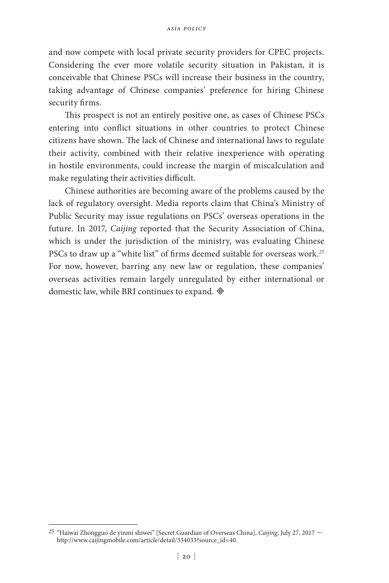and now compete with local private security providers for CPEC projects. Considering the ever more volatile security situation in Pakistan, it is conceivable that Chinese PSCs will increase their business in the country, taking advantage of Chinese companies' preference for hiring Chinese security firms.

This prospect is not an entirely positive one, as cases of Chinese PSCs entering into conflict situations in other countries to protect Chinese citizens have shown. The lack of Chinese and international laws to regulate their activity, combined with their relative inexperience with operating in hostile environments, could increase the margin of miscalculation and make regulating their activities difficult.

Chinese authorities are becoming aware of the problems caused by the lack of regulatory oversight. Media reports claim that China's Ministry of Public Security may issue regulations on PSCs' overseas operations in the future. In 2017, *Caijing* reported that the Security Association of China, which is under the jurisdiction of the ministry, was evaluating Chinese PSCs to draw up a "white list" of firms deemed suitable for overseas work.*<sup>25</sup>* For now, however, barring any new law or regulation, these companies' overseas activities remain largely unregulated by either international or domestic law, while BRI continues to expand.

*<sup>25</sup>* "Haiwai Zhongguo de yinmi shiwei" [Secret Guardian of Overseas China], *Caijing*, July 27, 2017 <sup>u</sup> http://www.caijingmobile.com/article/detail/334033?source\_id=40.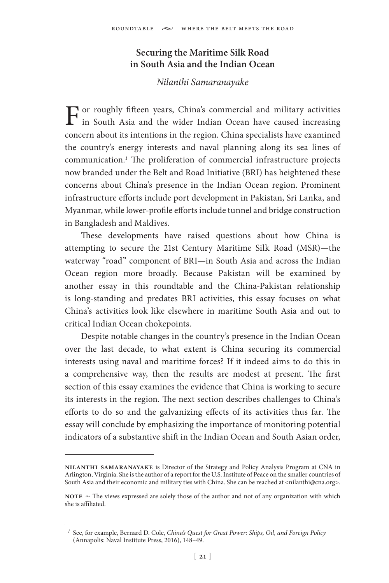# **Securing the Maritime Silk Road in South Asia and the Indian Ocean**

#### *Nilanthi Samaranayake*

For roughly fifteen years, China's commercial and military activities in South Asia and the wider Indian Ocean have caused increasing concern about its intentions in the region. China specialists have examined the country's energy interests and naval planning along its sea lines of communication.*<sup>1</sup>* The proliferation of commercial infrastructure projects now branded under the Belt and Road Initiative (BRI) has heightened these concerns about China's presence in the Indian Ocean region. Prominent infrastructure efforts include port development in Pakistan, Sri Lanka, and Myanmar, while lower-profile efforts include tunnel and bridge construction in Bangladesh and Maldives.

These developments have raised questions about how China is attempting to secure the 21st Century Maritime Silk Road (MSR)—the waterway "road" component of BRI—in South Asia and across the Indian Ocean region more broadly. Because Pakistan will be examined by another essay in this roundtable and the China-Pakistan relationship is long-standing and predates BRI activities, this essay focuses on what China's activities look like elsewhere in maritime South Asia and out to critical Indian Ocean chokepoints.

Despite notable changes in the country's presence in the Indian Ocean over the last decade, to what extent is China securing its commercial interests using naval and maritime forces? If it indeed aims to do this in a comprehensive way, then the results are modest at present. The first section of this essay examines the evidence that China is working to secure its interests in the region. The next section describes challenges to China's efforts to do so and the galvanizing effects of its activities thus far. The essay will conclude by emphasizing the importance of monitoring potential indicators of a substantive shift in the Indian Ocean and South Asian order,

**nilanthi samaranayake** is Director of the Strategy and Policy Analysis Program at CNA in Arlington, Virginia. She is the author of a report for the U.S. Institute of Peace on the smaller countries of South Asia and their economic and military ties with China. She can be reached at <nilanthi@cna.org>.

**NOTE**  $\sim$  The views expressed are solely those of the author and not of any organization with which she is affiliated.

*<sup>1</sup>* See, for example, Bernard D. Cole, *China's Quest for Great Power: Ships, Oil, and Foreign Policy*  (Annapolis: Naval Institute Press, 2016), 148–49.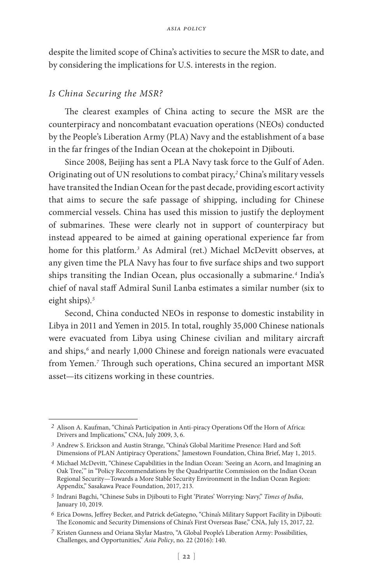despite the limited scope of China's activities to secure the MSR to date, and by considering the implications for U.S. interests in the region.

### *Is China Securing the MSR?*

The clearest examples of China acting to secure the MSR are the counterpiracy and noncombatant evacuation operations (NEOs) conducted by the People's Liberation Army (PLA) Navy and the establishment of a base in the far fringes of the Indian Ocean at the chokepoint in Djibouti.

Since 2008, Beijing has sent a PLA Navy task force to the Gulf of Aden. Originating out of UN resolutions to combat piracy,*<sup>2</sup>* China's military vessels have transited the Indian Ocean for the past decade, providing escort activity that aims to secure the safe passage of shipping, including for Chinese commercial vessels. China has used this mission to justify the deployment of submarines. These were clearly not in support of counterpiracy but instead appeared to be aimed at gaining operational experience far from home for this platform.*<sup>3</sup>* As Admiral (ret.) Michael McDevitt observes, at any given time the PLA Navy has four to five surface ships and two support ships transiting the Indian Ocean, plus occasionally a submarine.*<sup>4</sup>* India's chief of naval staff Admiral Sunil Lanba estimates a similar number (six to eight ships).*<sup>5</sup>*

Second, China conducted NEOs in response to domestic instability in Libya in 2011 and Yemen in 2015. In total, roughly 35,000 Chinese nationals were evacuated from Libya using Chinese civilian and military aircraft and ships,<sup>6</sup> and nearly 1,000 Chinese and foreign nationals were evacuated from Yemen.*<sup>7</sup>* Through such operations, China secured an important MSR asset—its citizens working in these countries.

*<sup>2</sup>* Alison A. Kaufman, "China's Participation in Anti-piracy Operations Off the Horn of Africa: Drivers and Implications," CNA, July 2009, 3, 6.

*<sup>3</sup>* Andrew S. Erickson and Austin Strange, "China's Global Maritime Presence: Hard and Soft Dimensions of PLAN Antipiracy Operations," Jamestown Foundation, China Brief, May 1, 2015.

*<sup>4</sup>* Michael McDevitt, "Chinese Capabilities in the Indian Ocean: 'Seeing an Acorn, and Imagining an Oak Tree,'" in "Policy Recommendations by the Quadripartite Commission on the Indian Ocean Regional Security—Towards a More Stable Security Environment in the Indian Ocean Region: Appendix," Sasakawa Peace Foundation, 2017, 213.

*<sup>5</sup>* Indrani Bagchi, "Chinese Subs in Djibouti to Fight 'Pirates' Worrying: Navy," *Times of India*, January 10, 2019.

*<sup>6</sup>* Erica Downs, Jeffrey Becker, and Patrick deGategno, "China's Military Support Facility in Djibouti: The Economic and Security Dimensions of China's First Overseas Base," CNA, July 15, 2017, 22.

*<sup>7</sup>* Kristen Gunness and Oriana Skylar Mastro, "A Global People's Liberation Army: Possibilities, Challenges, and Opportunities," *Asia Policy*, no. 22 (2016): 140.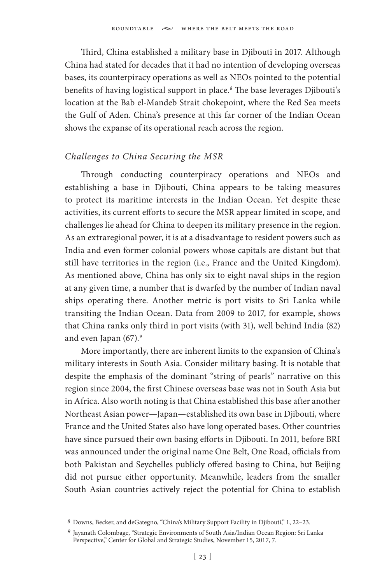Third, China established a military base in Djibouti in 2017. Although China had stated for decades that it had no intention of developing overseas bases, its counterpiracy operations as well as NEOs pointed to the potential benefits of having logistical support in place.*<sup>8</sup>* The base leverages Djibouti's location at the Bab el-Mandeb Strait chokepoint, where the Red Sea meets the Gulf of Aden. China's presence at this far corner of the Indian Ocean shows the expanse of its operational reach across the region.

### *Challenges to China Securing the MSR*

Through conducting counterpiracy operations and NEOs and establishing a base in Djibouti, China appears to be taking measures to protect its maritime interests in the Indian Ocean. Yet despite these activities, its current efforts to secure the MSR appear limited in scope, and challenges lie ahead for China to deepen its military presence in the region. As an extraregional power, it is at a disadvantage to resident powers such as India and even former colonial powers whose capitals are distant but that still have territories in the region (i.e., France and the United Kingdom). As mentioned above, China has only six to eight naval ships in the region at any given time, a number that is dwarfed by the number of Indian naval ships operating there. Another metric is port visits to Sri Lanka while transiting the Indian Ocean. Data from 2009 to 2017, for example, shows that China ranks only third in port visits (with 31), well behind India (82) and even Japan (67).*<sup>9</sup>*

More importantly, there are inherent limits to the expansion of China's military interests in South Asia. Consider military basing. It is notable that despite the emphasis of the dominant "string of pearls" narrative on this region since 2004, the first Chinese overseas base was not in South Asia but in Africa. Also worth noting is that China established this base after another Northeast Asian power—Japan—established its own base in Djibouti, where France and the United States also have long operated bases. Other countries have since pursued their own basing efforts in Djibouti. In 2011, before BRI was announced under the original name One Belt, One Road, officials from both Pakistan and Seychelles publicly offered basing to China, but Beijing did not pursue either opportunity. Meanwhile, leaders from the smaller South Asian countries actively reject the potential for China to establish

*<sup>8</sup>* Downs, Becker, and deGategno, "China's Military Support Facility in Djibouti," 1, 22–23.

*<sup>9</sup>* Jayanath Colombage, "Strategic Environments of South Asia/Indian Ocean Region: Sri Lanka Perspective," Center for Global and Strategic Studies, November 15, 2017, 7.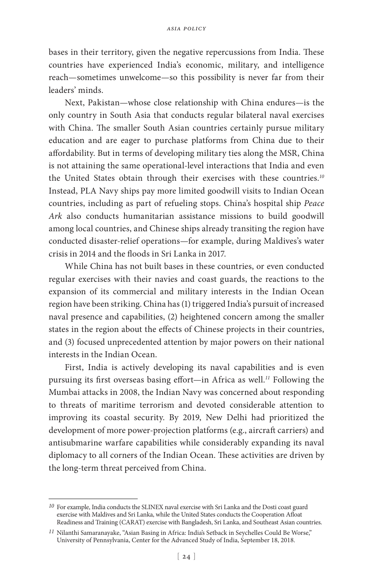bases in their territory, given the negative repercussions from India. These countries have experienced India's economic, military, and intelligence reach—sometimes unwelcome—so this possibility is never far from their leaders' minds.

Next, Pakistan—whose close relationship with China endures—is the only country in South Asia that conducts regular bilateral naval exercises with China. The smaller South Asian countries certainly pursue military education and are eager to purchase platforms from China due to their affordability. But in terms of developing military ties along the MSR, China is not attaining the same operational-level interactions that India and even the United States obtain through their exercises with these countries.*<sup>10</sup>* Instead, PLA Navy ships pay more limited goodwill visits to Indian Ocean countries, including as part of refueling stops. China's hospital ship *Peace Ark* also conducts humanitarian assistance missions to build goodwill among local countries, and Chinese ships already transiting the region have conducted disaster-relief operations—for example, during Maldives's water crisis in 2014 and the floods in Sri Lanka in 2017.

While China has not built bases in these countries, or even conducted regular exercises with their navies and coast guards, the reactions to the expansion of its commercial and military interests in the Indian Ocean region have been striking. China has (1) triggered India's pursuit of increased naval presence and capabilities, (2) heightened concern among the smaller states in the region about the effects of Chinese projects in their countries, and (3) focused unprecedented attention by major powers on their national interests in the Indian Ocean.

First, India is actively developing its naval capabilities and is even pursuing its first overseas basing effort—in Africa as well.*<sup>11</sup>* Following the Mumbai attacks in 2008, the Indian Navy was concerned about responding to threats of maritime terrorism and devoted considerable attention to improving its coastal security. By 2019, New Delhi had prioritized the development of more power-projection platforms (e.g., aircraft carriers) and antisubmarine warfare capabilities while considerably expanding its naval diplomacy to all corners of the Indian Ocean. These activities are driven by the long-term threat perceived from China.

*<sup>10</sup>* For example, India conducts the SLINEX naval exercise with Sri Lanka and the Dosti coast guard exercise with Maldives and Sri Lanka, while the United States conducts the Cooperation Afloat Readiness and Training (CARAT) exercise with Bangladesh, Sri Lanka, and Southeast Asian countries.

*<sup>11</sup>* Nilanthi Samaranayake, "Asian Basing in Africa: India's Setback in Seychelles Could Be Worse," University of Pennsylvania, Center for the Advanced Study of India, September 18, 2018.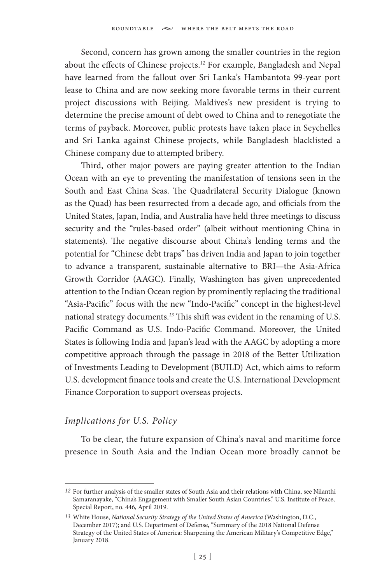Second, concern has grown among the smaller countries in the region about the effects of Chinese projects.*<sup>12</sup>* For example, Bangladesh and Nepal have learned from the fallout over Sri Lanka's Hambantota 99-year port lease to China and are now seeking more favorable terms in their current project discussions with Beijing. Maldives's new president is trying to determine the precise amount of debt owed to China and to renegotiate the terms of payback. Moreover, public protests have taken place in Seychelles and Sri Lanka against Chinese projects, while Bangladesh blacklisted a Chinese company due to attempted bribery.

Third, other major powers are paying greater attention to the Indian Ocean with an eye to preventing the manifestation of tensions seen in the South and East China Seas. The Quadrilateral Security Dialogue (known as the Quad) has been resurrected from a decade ago, and officials from the United States, Japan, India, and Australia have held three meetings to discuss security and the "rules-based order" (albeit without mentioning China in statements). The negative discourse about China's lending terms and the potential for "Chinese debt traps" has driven India and Japan to join together to advance a transparent, sustainable alternative to BRI—the Asia-Africa Growth Corridor (AAGC). Finally, Washington has given unprecedented attention to the Indian Ocean region by prominently replacing the traditional "Asia-Pacific" focus with the new "Indo-Pacific" concept in the highest-level national strategy documents.*<sup>13</sup>* This shift was evident in the renaming of U.S. Pacific Command as U.S. Indo-Pacific Command. Moreover, the United States is following India and Japan's lead with the AAGC by adopting a more competitive approach through the passage in 2018 of the Better Utilization of Investments Leading to Development (BUILD) Act, which aims to reform U.S. development finance tools and create the U.S. International Development Finance Corporation to support overseas projects.

## *Implications for U.S. Policy*

To be clear, the future expansion of China's naval and maritime force presence in South Asia and the Indian Ocean more broadly cannot be

*<sup>12</sup>* For further analysis of the smaller states of South Asia and their relations with China, see Nilanthi Samaranayake, "China's Engagement with Smaller South Asian Countries," U.S. Institute of Peace, Special Report, no. 446, April 2019.

*<sup>13</sup>* White House, *National Security Strategy of the United States of America* (Washington, D.C., December 2017); and U.S. Department of Defense, "Summary of the 2018 National Defense Strategy of the United States of America: Sharpening the American Military's Competitive Edge," January 2018.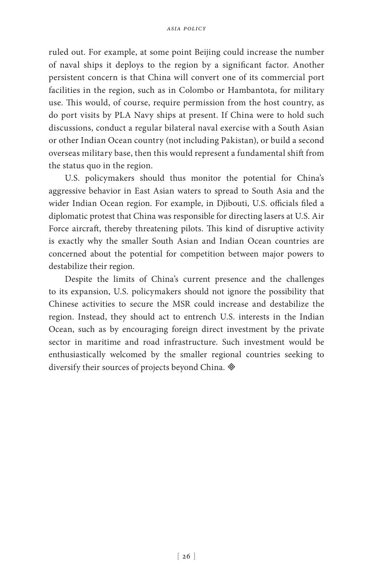ruled out. For example, at some point Beijing could increase the number of naval ships it deploys to the region by a significant factor. Another persistent concern is that China will convert one of its commercial port facilities in the region, such as in Colombo or Hambantota, for military use. This would, of course, require permission from the host country, as do port visits by PLA Navy ships at present. If China were to hold such discussions, conduct a regular bilateral naval exercise with a South Asian or other Indian Ocean country (not including Pakistan), or build a second overseas military base, then this would represent a fundamental shift from the status quo in the region.

U.S. policymakers should thus monitor the potential for China's aggressive behavior in East Asian waters to spread to South Asia and the wider Indian Ocean region. For example, in Djibouti, U.S. officials filed a diplomatic protest that China was responsible for directing lasers at U.S. Air Force aircraft, thereby threatening pilots. This kind of disruptive activity is exactly why the smaller South Asian and Indian Ocean countries are concerned about the potential for competition between major powers to destabilize their region.

Despite the limits of China's current presence and the challenges to its expansion, U.S. policymakers should not ignore the possibility that Chinese activities to secure the MSR could increase and destabilize the region. Instead, they should act to entrench U.S. interests in the Indian Ocean, such as by encouraging foreign direct investment by the private sector in maritime and road infrastructure. Such investment would be enthusiastically welcomed by the smaller regional countries seeking to diversify their sources of projects beyond China.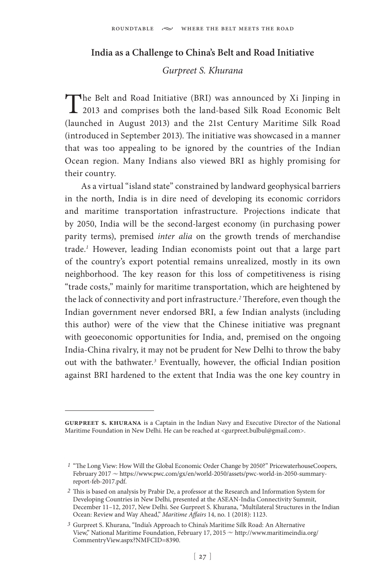## **India as a Challenge to China's Belt and Road Initiative**

### *Gurpreet S. Khurana*

The Belt and Road Initiative (BRI) was announced by Xi Jinping in 1 2013 and comprises both the land-based Silk Road Economic Belt (launched in August 2013) and the 21st Century Maritime Silk Road (introduced in September 2013). The initiative was showcased in a manner that was too appealing to be ignored by the countries of the Indian Ocean region. Many Indians also viewed BRI as highly promising for their country.

As a virtual "island state" constrained by landward geophysical barriers in the north, India is in dire need of developing its economic corridors and maritime transportation infrastructure. Projections indicate that by 2050, India will be the second-largest economy (in purchasing power parity terms), premised *inter alia* on the growth trends of merchandise trade.*<sup>1</sup>* However, leading Indian economists point out that a large part of the country's export potential remains unrealized, mostly in its own neighborhood. The key reason for this loss of competitiveness is rising "trade costs," mainly for maritime transportation, which are heightened by the lack of connectivity and port infrastructure.*<sup>2</sup>* Therefore, even though the Indian government never endorsed BRI, a few Indian analysts (including this author) were of the view that the Chinese initiative was pregnant with geoeconomic opportunities for India, and, premised on the ongoing India-China rivalry, it may not be prudent for New Delhi to throw the baby out with the bathwater.*<sup>3</sup>* Eventually, however, the official Indian position against BRI hardened to the extent that India was the one key country in

**gurpreet s. khurana** is a Captain in the Indian Navy and Executive Director of the National Maritime Foundation in New Delhi. He can be reached at <[gurpreet.bulbul@gmail.com](mailto:gurpreet.bulbul@gmail.com)>.

*<sup>1</sup>* "The Long View: How Will the Global Economic Order Change by 2050?" PricewaterhouseCoopers, February 2017 ~ https://www.pwc.com/gx/en/world-2050/assets/pwc-world-in-2050-summaryreport-feb-2017.pdf.

*<sup>2</sup>* This is based on analysis by Prabir De, a professor at the Research and Information System for Developing Countries in New Delhi, presented at the ASEAN-India Connectivity Summit, December 11–12, 2017, New Delhi. See Gurpreet S. Khurana, "Multilateral Structures in the Indian Ocean: Review and Way Ahead," *Maritime Affairs* 14, no. 1 (2018): 1123.

*<sup>3</sup>* Gurpreet S. Khurana, "India's Approach to China's Maritime Silk Road: An Alternative View," National Maritime Foundation, February 17, 2015  $\sim$  http://www.maritimeindia.org/ CommentryView.aspx?NMFCID=8390.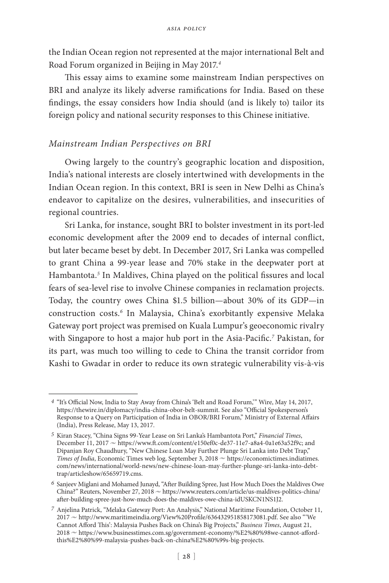the Indian Ocean region not represented at the major international Belt and Road Forum organized in Beijing in May 2017.*<sup>4</sup>*

This essay aims to examine some mainstream Indian perspectives on BRI and analyze its likely adverse ramifications for India. Based on these findings, the essay considers how India should (and is likely to) tailor its foreign policy and national security responses to this Chinese initiative.

### *Mainstream Indian Perspectives on BRI*

Owing largely to the country's geographic location and disposition, India's national interests are closely intertwined with developments in the Indian Ocean region. In this context, BRI is seen in New Delhi as China's endeavor to capitalize on the desires, vulnerabilities, and insecurities of regional countries.

Sri Lanka, for instance, sought BRI to bolster investment in its port-led economic development after the 2009 end to decades of internal conflict, but later became beset by debt. In December 2017, Sri Lanka was compelled to grant China a 99-year lease and 70% stake in the deepwater port at Hambantota.*<sup>5</sup>* In Maldives, China played on the political fissures and local fears of sea-level rise to involve Chinese companies in reclamation projects. Today, the country owes China \$1.5 billion—about 30% of its GDP—in construction costs.*<sup>6</sup>* In Malaysia, China's exorbitantly expensive Melaka Gateway port project was premised on Kuala Lumpur's geoeconomic rivalry with Singapore to host a major hub port in the Asia-Pacific.*<sup>7</sup>* Pakistan, for its part, was much too willing to cede to China the transit corridor from Kashi to Gwadar in order to reduce its own strategic vulnerability vis-à-vis

*<sup>4</sup>* "It's Official Now, India to Stay Away from China's 'Belt and Road Forum,'" Wire, May 14, 2017, https://thewire.in/diplomacy/india-china-obor-belt-summit. See also "Official Spokesperson's Response to a Query on Participation of India in OBOR/BRI Forum," Ministry of External Affairs (India), Press Release, May 13, 2017.

*<sup>5</sup>* Kiran Stacey, "China Signs 99-Year Lease on Sri Lanka's Hambantota Port," *Financial Times*, December 11, 2017  $\sim$  https://www.ft.com/content/e150ef0c-de37-11e7-a8a4-0a1e63a52f9c; and Dipanjan Roy Chaudhury, "New Chinese Loan May Further Plunge Sri Lanka into Debt Trap," *Times of India*, Economic Times web log, September 3, 2018  $\sim$  https://economictimes.indiatimes. com/news/international/world-news/new-chinese-loan-may-further-plunge-sri-lanka-into-debttrap/articleshow/65659719.cms.

*<sup>6</sup>* Sanjeev Miglani and Mohamed Junayd, "After Building Spree, Just How Much Does the Maldives Owe China?" Reuters, November 27, 2018 ~ [https://www.reuters.com/article/us-maldives-politics-china/](https://www.reuters.com/article/us-maldives-politics-china/after-building-spree-just-how-much-does-the-maldives-owe-china-idUSKCN1NS1J2) [after-building-spree-just-how-much-does-the-maldives-owe-china-idUSKCN1NS1J2.](https://www.reuters.com/article/us-maldives-politics-china/after-building-spree-just-how-much-does-the-maldives-owe-china-idUSKCN1NS1J2)

*<sup>7</sup>* Anjelina Patrick, "Melaka Gateway Port: An Analysis," National Maritime Foundation, October 11,  $2017$   $\sim$  http://www.maritimeindia.org/View%20Profile/636432951858173081.pdf. See also "'We Cannot Afford This': Malaysia Pushes Back on China's Big Projects," *Business Times*, August 21,  $2018 \sim$ https://www.businesstimes.com.sg/government-economy/%E2%80%98we-cannot-affordthis%E2%80%99-malaysia-pushes-back-on-china%E2%80%99s-big-projects.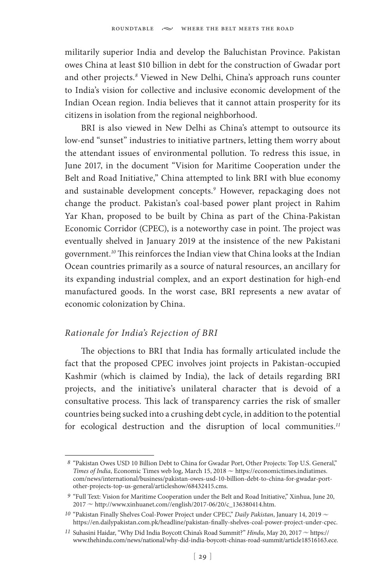militarily superior India and develop the Baluchistan Province. Pakistan owes China at least \$10 billion in debt for the construction of Gwadar port and other projects.<sup>8</sup> Viewed in New Delhi, China's approach runs counter to India's vision for collective and inclusive economic development of the Indian Ocean region. India believes that it cannot attain prosperity for its citizens in isolation from the regional neighborhood.

BRI is also viewed in New Delhi as China's attempt to outsource its low-end "sunset" industries to initiative partners, letting them worry about the attendant issues of environmental pollution. To redress this issue, in June 2017, in the document "Vision for Maritime Cooperation under the Belt and Road Initiative," China attempted to link BRI with blue economy and sustainable development concepts.*<sup>9</sup>* However, repackaging does not change the product. Pakistan's coal-based power plant project in Rahim Yar Khan, proposed to be built by China as part of the China-Pakistan Economic Corridor (CPEC), is a noteworthy case in point. The project was eventually shelved in January 2019 at the insistence of the new Pakistani government.*<sup>10</sup>* This reinforces the Indian view that China looks at the Indian Ocean countries primarily as a source of natural resources, an ancillary for its expanding industrial complex, and an export destination for high-end manufactured goods. In the worst case, BRI represents a new avatar of economic colonization by China.

## *Rationale for India's Rejection of BRI*

The objections to BRI that India has formally articulated include the fact that the proposed CPEC involves joint projects in Pakistan-occupied Kashmir (which is claimed by India), the lack of details regarding BRI projects, and the initiative's unilateral character that is devoid of a consultative process. This lack of transparency carries the risk of smaller countries being sucked into a crushing debt cycle, in addition to the potential for ecological destruction and the disruption of local communities.*<sup>11</sup>*

*<sup>8</sup>* "Pakistan Owes USD 10 Billion Debt to China for Gwadar Port, Other Projects: Top U.S. General," *Times of India*, Economic Times web log, March 15, 2018  $\sim$  https://economictimes.indiatimes. com/news/international/business/pakistan-owes-usd-10-billion-debt-to-china-for-gwadar-portother-projects-top-us-general/articleshow/68432415.cms.

*<sup>9</sup>* "Full Text: Vision for Maritime Cooperation under the Belt and Road Initiative," Xinhua, June 20,  $2017 \sim$  http://www.xinhuanet.com//english/2017-06/20/c\_136380414.htm.

<sup>10 &</sup>quot;Pakistan Finally Shelves Coal-Power Project under CPEC," *Daily Pakistan*, January 14, 2019 ~ https://en.dailypakistan.com.pk/headline/pakistan-finally-shelves-coal-power-project-under-cpec.

*<sup>11</sup>* Suhasini Haidar, "Why Did India Boycott China's Road Summit?" *Hindu*, May 20, 2017 u https:// www.thehindu.com/news/national/why-did-india-boycott-chinas-road-summit/article18516163.ece.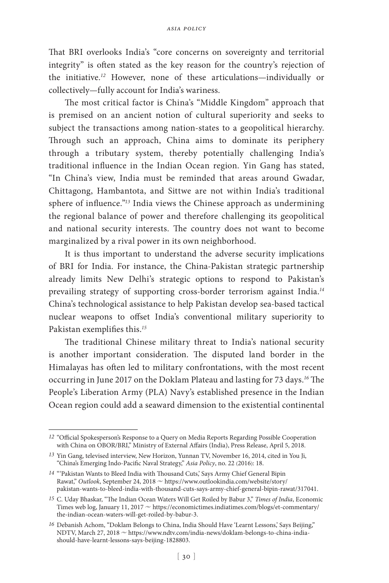That BRI overlooks India's "core concerns on sovereignty and territorial integrity" is often stated as the key reason for the country's rejection of the initiative.*<sup>12</sup>* However, none of these articulations—individually or collectively—fully account for India's wariness.

The most critical factor is China's "Middle Kingdom" approach that is premised on an ancient notion of cultural superiority and seeks to subject the transactions among nation-states to a geopolitical hierarchy. Through such an approach, China aims to dominate its periphery through a tributary system, thereby potentially challenging India's traditional influence in the Indian Ocean region. Yin Gang has stated, "In China's view, India must be reminded that areas around Gwadar, Chittagong, Hambantota, and Sittwe are not within India's traditional sphere of influence."*<sup>13</sup>* India views the Chinese approach as undermining the regional balance of power and therefore challenging its geopolitical and national security interests. The country does not want to become marginalized by a rival power in its own neighborhood.

It is thus important to understand the adverse security implications of BRI for India. For instance, the China-Pakistan strategic partnership already limits New Delhi's strategic options to respond to Pakistan's prevailing strategy of supporting cross-border terrorism against India.*<sup>14</sup>* China's technological assistance to help Pakistan develop sea-based tactical nuclear weapons to offset India's conventional military superiority to Pakistan exemplifies this.*<sup>15</sup>*

The traditional Chinese military threat to India's national security is another important consideration. The disputed land border in the Himalayas has often led to military confrontations, with the most recent occurring in June 2017 on the Doklam Plateau and lasting for 73 days.*<sup>16</sup>* The People's Liberation Army (PLA) Navy's established presence in the Indian Ocean region could add a seaward dimension to the existential continental

*<sup>12</sup>* "Official Spokesperson's Response to a Query on Media Reports Regarding Possible Cooperation with China on OBOR/BRI," Ministry of External Affairs (India), Press Release, April 5, 2018.

*<sup>13</sup>* Yin Gang, televised interview, New Horizon, Yunnan TV, November 16, 2014, cited in You Ji, "China's Emerging Indo-Pacific Naval Strategy," *Asia Policy*, no. 22 (2016): 18.

*<sup>14</sup>* "'Pakistan Wants to Bleed India with Thousand Cuts,' Says Army Chief General Bipin Rawat," Outlook, September 24, 2018 ~ https://www.outlookindia.com/website/story/ pakistan-wants-to-bleed-india-with-thousand-cuts-says-army-chief-general-bipin-rawat/317041.

*<sup>15</sup>* C. Uday Bhaskar, "The Indian Ocean Waters Will Get Roiled by Babur 3," *Times of India*, Economic Times web log, January 11, 2017  $\sim$  https://economictimes.indiatimes.com/blogs/et-commentary/ the-indian-ocean-waters-will-get-roiled-by-babur-3.

<sup>&</sup>lt;sup>16</sup> Debanish Achom, "Doklam Belongs to China, India Should Have 'Learnt Lessons,' Says Beijing," NDTV, March 27, 2018 ~ https://www.ndtv.com/india-news/doklam-belongs-to-china-indiashould-have-learnt-lessons-says-beijing-1828803.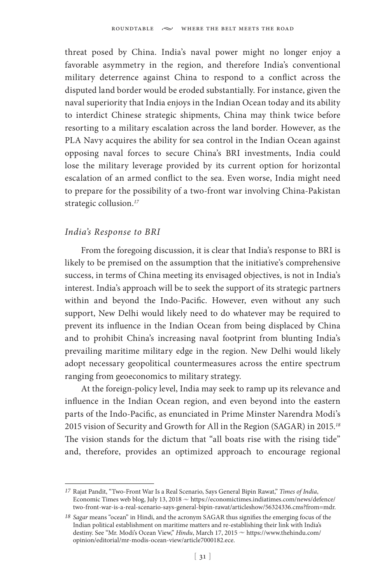threat posed by China. India's naval power might no longer enjoy a favorable asymmetry in the region, and therefore India's conventional military deterrence against China to respond to a conflict across the disputed land border would be eroded substantially. For instance, given the naval superiority that India enjoys in the Indian Ocean today and its ability to interdict Chinese strategic shipments, China may think twice before resorting to a military escalation across the land border. However, as the PLA Navy acquires the ability for sea control in the Indian Ocean against opposing naval forces to secure China's BRI investments, India could lose the military leverage provided by its current option for horizontal escalation of an armed conflict to the sea. Even worse, India might need to prepare for the possibility of a two-front war involving China-Pakistan strategic collusion.*<sup>17</sup>*

# *India's Response to BRI*

From the foregoing discussion, it is clear that India's response to BRI is likely to be premised on the assumption that the initiative's comprehensive success, in terms of China meeting its envisaged objectives, is not in India's interest. India's approach will be to seek the support of its strategic partners within and beyond the Indo-Pacific. However, even without any such support, New Delhi would likely need to do whatever may be required to prevent its influence in the Indian Ocean from being displaced by China and to prohibit China's increasing naval footprint from blunting India's prevailing maritime military edge in the region. New Delhi would likely adopt necessary geopolitical countermeasures across the entire spectrum ranging from geoeconomics to military strategy.

At the foreign-policy level, India may seek to ramp up its relevance and influence in the Indian Ocean region, and even beyond into the eastern parts of the Indo-Pacific, as enunciated in Prime Minster Narendra Modi's 2015 vision of Security and Growth for All in the Region (SAGAR) in 2015.*<sup>18</sup>* The vision stands for the dictum that "all boats rise with the rising tide" and, therefore, provides an optimized approach to encourage regional

*<sup>17</sup>* Rajat Pandit, "Two-Front War Is a Real Scenario, Says General Bipin Rawat," *Times of India*, Economic Times web blog, July 13, 2018  $\sim$  https://economictimes.indiatimes.com/news/defence/ two-front-war-is-a-real-scenario-says-general-bipin-rawat/articleshow/56324336.cms?from=mdr.

*<sup>18</sup> Sagar* means "ocean" in Hindi, and the acronym SAGAR thus signifies the emerging focus of the Indian political establishment on maritime matters and re-establishing their link with India's destiny. See "Mr. Modi's Ocean View," *Hindu*, March 17, 2015  $\sim$  https://www.thehindu.com/ opinion/editorial/mr-modis-ocean-view/article7000182.ece.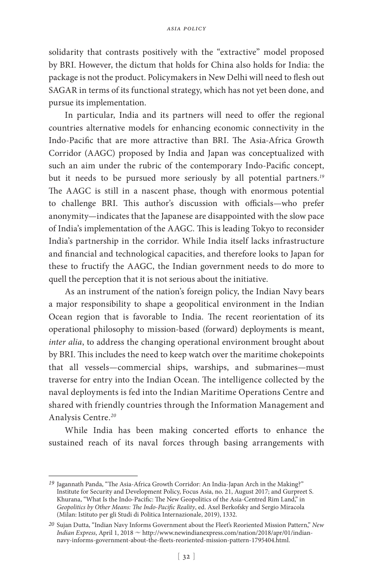solidarity that contrasts positively with the "extractive" model proposed by BRI. However, the dictum that holds for China also holds for India: the package is not the product. Policymakers in New Delhi will need to flesh out SAGAR in terms of its functional strategy, which has not yet been done, and pursue its implementation.

In particular, India and its partners will need to offer the regional countries alternative models for enhancing economic connectivity in the Indo-Pacific that are more attractive than BRI. The Asia-Africa Growth Corridor (AAGC) proposed by India and Japan was conceptualized with such an aim under the rubric of the contemporary Indo-Pacific concept, but it needs to be pursued more seriously by all potential partners.*<sup>19</sup>* The AAGC is still in a nascent phase, though with enormous potential to challenge BRI. This author's discussion with officials—who prefer anonymity—indicates that the Japanese are disappointed with the slow pace of India's implementation of the AAGC. This is leading Tokyo to reconsider India's partnership in the corridor. While India itself lacks infrastructure and financial and technological capacities, and therefore looks to Japan for these to fructify the AAGC, the Indian government needs to do more to quell the perception that it is not serious about the initiative.

As an instrument of the nation's foreign policy, the Indian Navy bears a major responsibility to shape a geopolitical environment in the Indian Ocean region that is favorable to India. The recent reorientation of its operational philosophy to mission-based (forward) deployments is meant, *inter alia*, to address the changing operational environment brought about by BRI. This includes the need to keep watch over the maritime chokepoints that all vessels—commercial ships, warships, and submarines—must traverse for entry into the Indian Ocean. The intelligence collected by the naval deployments is fed into the Indian Maritime Operations Centre and shared with friendly countries through the Information Management and Analysis Centre.*<sup>20</sup>*

While India has been making concerted efforts to enhance the sustained reach of its naval forces through basing arrangements with

*<sup>19</sup>* Jagannath Panda, "The Asia-Africa Growth Corridor: An India-Japan Arch in the Making?" Institute for Security and Development Policy, Focus Asia, no. 21, August 2017; and Gurpreet S. Khurana, "What Is the Indo-Pacific: The New Geopolitics of the Asia-Centred Rim Land," in *Geopolitics by Other Means: The Indo-Pacific Reality*, ed. Axel Berkofsky and Sergio Miracola (Milan: Istituto per gli Studi di Politica Internazionale, 2019), 1332.

*<sup>20</sup>* Sujan Dutta, "Indian Navy Informs Government about the Fleet's Reoriented Mission Pattern," *New Indian Express*, April 1, 2018  $\sim$  http://www.newindianexpress.com/nation/2018/apr/01/indiannavy-informs-government-about-the-fleets-reoriented-mission-pattern-1795404.html.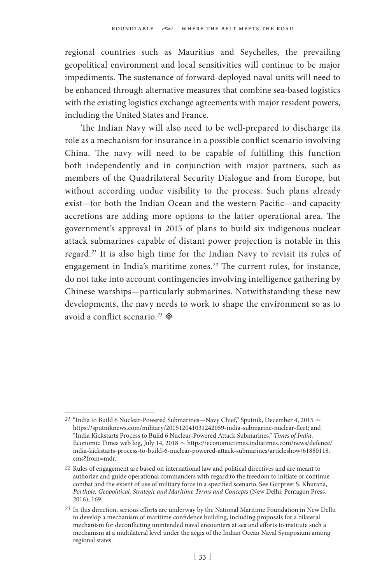regional countries such as Mauritius and Seychelles, the prevailing geopolitical environment and local sensitivities will continue to be major impediments. The sustenance of forward-deployed naval units will need to be enhanced through alternative measures that combine sea-based logistics with the existing logistics exchange agreements with major resident powers, including the United States and France.

The Indian Navy will also need to be well-prepared to discharge its role as a mechanism for insurance in a possible conflict scenario involving China. The navy will need to be capable of fulfilling this function both independently and in conjunction with major partners, such as members of the Quadrilateral Security Dialogue and from Europe, but without according undue visibility to the process. Such plans already exist—for both the Indian Ocean and the western Pacific—and capacity accretions are adding more options to the latter operational area. The government's approval in 2015 of plans to build six indigenous nuclear attack submarines capable of distant power projection is notable in this regard.*<sup>21</sup>* It is also high time for the Indian Navy to revisit its rules of engagement in India's maritime zones.*<sup>22</sup>* The current rules, for instance, do not take into account contingencies involving intelligence gathering by Chinese warships—particularly submarines. Notwithstanding these new developments, the navy needs to work to shape the environment so as to avoid a conflict scenario.*<sup>23</sup>*

<sup>&</sup>lt;sup>21</sup> "India to Build 6 Nuclear-Powered Submarines—Navy Chief," Sputnik, December 4, 2015  $\sim$ https://sputniknews.com/military/201512041031242059-india-submarine-nuclear-fleet; and "India Kickstarts Process to Build 6 Nuclear-Powered Attack Submarines," *Times of India*, Economic Times web log, July 14, 2018  $\sim$  https://economictimes.indiatimes.com/news/defence/ india-kickstarts-process-to-build-6-nuclear-powered-attack-submarines/articleshow/61880118. cms?from=mdr.

*<sup>22</sup>* Rules of engagement are based on international law and political directives and are meant to authorize and guide operational commanders with regard to the freedom to initiate or continue combat and the extent of use of military force in a specified scenario. See Gurpreet S. Khurana, *Porthole: Geopolitical, Strategic and Maritime Terms and Concepts* (New Delhi: Pentagon Press, 2016), 169.

*<sup>23</sup>* In this direction, serious efforts are underway by the National Maritime Foundation in New Delhi to develop a mechanism of maritime confidence building, including proposals for a bilateral mechanism for deconflicting unintended naval encounters at sea and efforts to institute such a mechanism at a multilateral level under the aegis of the Indian Ocean Naval Symposium among regional states.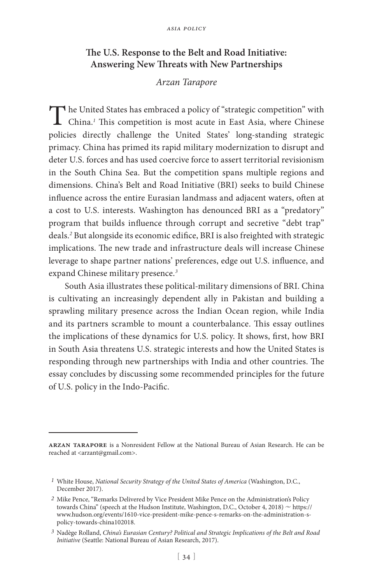# **The U.S. Response to the Belt and Road Initiative: Answering New Threats with New Partnerships**

### *Arzan Tarapore*

The United States has embraced a policy of "strategic competition" with<br>China <sup>1</sup> This competition China.*<sup>1</sup>* This competition is most acute in East Asia, where Chinese policies directly challenge the United States' long-standing strategic primacy. China has primed its rapid military modernization to disrupt and deter U.S. forces and has used coercive force to assert territorial revisionism in the South China Sea. But the competition spans multiple regions and dimensions. China's Belt and Road Initiative (BRI) seeks to build Chinese influence across the entire Eurasian landmass and adjacent waters, often at a cost to U.S. interests. Washington has denounced BRI as a "predatory" program that builds influence through corrupt and secretive "debt trap" deals.*<sup>2</sup>* But alongside its economic edifice, BRI is also freighted with strategic implications. The new trade and infrastructure deals will increase Chinese leverage to shape partner nations' preferences, edge out U.S. influence, and expand Chinese military presence.*<sup>3</sup>*

South Asia illustrates these political-military dimensions of BRI. China is cultivating an increasingly dependent ally in Pakistan and building a sprawling military presence across the Indian Ocean region, while India and its partners scramble to mount a counterbalance. This essay outlines the implications of these dynamics for U.S. policy. It shows, first, how BRI in South Asia threatens U.S. strategic interests and how the United States is responding through new partnerships with India and other countries. The essay concludes by discussing some recommended principles for the future of U.S. policy in the Indo-Pacific.

**arzan tarapore** is a Nonresident Fellow at the National Bureau of Asian Research. He can be reached at <arzant@gmail.com>.

*<sup>1</sup>* White House, *National Security Strategy of the United States of America* (Washington, D.C., December 2017).

*<sup>2</sup>* Mike Pence, "Remarks Delivered by Vice President Mike Pence on the Administration's Policy towards China" (speech at the Hudson Institute, Washington, D.C., October 4, 2018)  $\sim$  https:// www.hudson.org/events/1610-vice-president-mike-pence-s-remarks-on-the-administration-spolicy-towards-china102018.

*<sup>3</sup>* Nadège Rolland, *China's Eurasian Century? Political and Strategic Implications of the Belt and Road Initiative* (Seattle: National Bureau of Asian Research, 2017).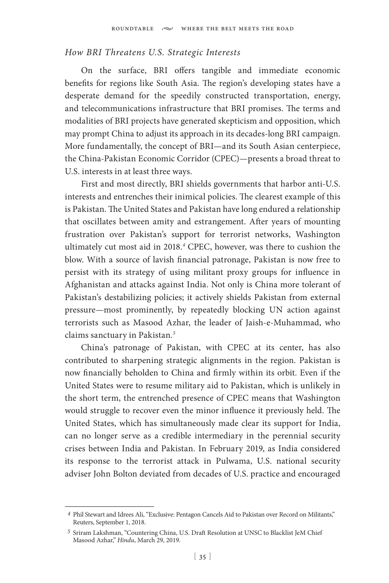## *How BRI Threatens U.S. Strategic Interests*

On the surface, BRI offers tangible and immediate economic benefits for regions like South Asia. The region's developing states have a desperate demand for the speedily constructed transportation, energy, and telecommunications infrastructure that BRI promises. The terms and modalities of BRI projects have generated skepticism and opposition, which may prompt China to adjust its approach in its decades-long BRI campaign. More fundamentally, the concept of BRI—and its South Asian centerpiece, the China-Pakistan Economic Corridor (CPEC)—presents a broad threat to U.S. interests in at least three ways.

First and most directly, BRI shields governments that harbor anti-U.S. interests and entrenches their inimical policies. The clearest example of this is Pakistan. The United States and Pakistan have long endured a relationship that oscillates between amity and estrangement. After years of mounting frustration over Pakistan's support for terrorist networks, Washington ultimately cut most aid in 2018.*<sup>4</sup>* CPEC, however, was there to cushion the blow. With a source of lavish financial patronage, Pakistan is now free to persist with its strategy of using militant proxy groups for influence in Afghanistan and attacks against India. Not only is China more tolerant of Pakistan's destabilizing policies; it actively shields Pakistan from external pressure—most prominently, by repeatedly blocking UN action against terrorists such as Masood Azhar, the leader of Jaish-e-Muhammad, who claims sanctuary in Pakistan.*<sup>5</sup>*

China's patronage of Pakistan, with CPEC at its center, has also contributed to sharpening strategic alignments in the region. Pakistan is now financially beholden to China and firmly within its orbit. Even if the United States were to resume military aid to Pakistan, which is unlikely in the short term, the entrenched presence of CPEC means that Washington would struggle to recover even the minor influence it previously held. The United States, which has simultaneously made clear its support for India, can no longer serve as a credible intermediary in the perennial security crises between India and Pakistan. In February 2019, as India considered its response to the terrorist attack in Pulwama, U.S. national security adviser John Bolton deviated from decades of U.S. practice and encouraged

*<sup>4</sup>* Phil Stewart and Idrees Ali, "Exclusive: Pentagon Cancels Aid to Pakistan over Record on Militants," Reuters, September 1, 2018.

*<sup>5</sup>* Sriram Lakshman, "Countering China, U.S. Draft Resolution at UNSC to Blacklist JeM Chief Masood Azhar," *Hindu*, March 29, 2019.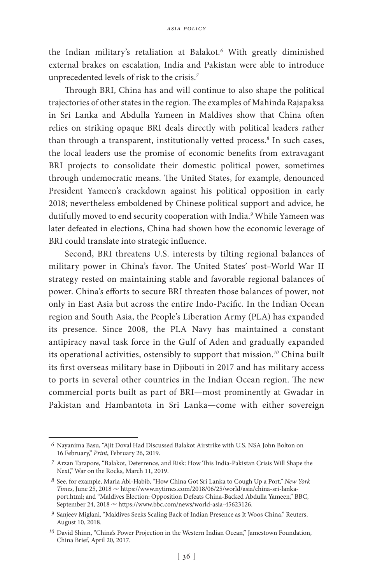the Indian military's retaliation at Balakot.*<sup>6</sup>* With greatly diminished external brakes on escalation, India and Pakistan were able to introduce unprecedented levels of risk to the crisis.*<sup>7</sup>*

Through BRI, China has and will continue to also shape the political trajectories of other states in the region. The examples of Mahinda Rajapaksa in Sri Lanka and Abdulla Yameen in Maldives show that China often relies on striking opaque BRI deals directly with political leaders rather than through a transparent, institutionally vetted process.*<sup>8</sup>* In such cases, the local leaders use the promise of economic benefits from extravagant BRI projects to consolidate their domestic political power, sometimes through undemocratic means. The United States, for example, denounced President Yameen's crackdown against his political opposition in early 2018; nevertheless emboldened by Chinese political support and advice, he dutifully moved to end security cooperation with India.*<sup>9</sup>* While Yameen was later defeated in elections, China had shown how the economic leverage of BRI could translate into strategic influence.

Second, BRI threatens U.S. interests by tilting regional balances of military power in China's favor. The United States' post–World War II strategy rested on maintaining stable and favorable regional balances of power. China's efforts to secure BRI threaten those balances of power, not only in East Asia but across the entire Indo-Pacific. In the Indian Ocean region and South Asia, the People's Liberation Army (PLA) has expanded its presence. Since 2008, the PLA Navy has maintained a constant antipiracy naval task force in the Gulf of Aden and gradually expanded its operational activities, ostensibly to support that mission.*<sup>10</sup>* China built its first overseas military base in Djibouti in 2017 and has military access to ports in several other countries in the Indian Ocean region. The new commercial ports built as part of BRI—most prominently at Gwadar in Pakistan and Hambantota in Sri Lanka—come with either sovereign

*<sup>6</sup>* Nayanima Basu, "Ajit Doval Had Discussed Balakot Airstrike with U.S. NSA John Bolton on 16 February," *Print*, February 26, 2019.

*<sup>7</sup>* Arzan Tarapore, "Balakot, Deterrence, and Risk: How This India-Pakistan Crisis Will Shape the Next," War on the Rocks, March 11, 2019.

*<sup>8</sup>* See, for example, Maria Abi-Habib, "How China Got Sri Lanka to Cough Up a Port," *New York Times*, June 25, 2018  $\sim$  https://www.nytimes.com/2018/06/25/world/asia/china-sri-lankaport.html; and "Maldives Election: Opposition Defeats China-Backed Abdulla Yameen," BBC, September 24, 2018 ~ https://www.bbc.com/news/world-asia-45623126.

*<sup>9</sup>* Sanjeev Miglani, "Maldives Seeks Scaling Back of Indian Presence as It Woos China," Reuters, August 10, 2018.

*<sup>10</sup>* David Shinn, "China's Power Projection in the Western Indian Ocean," Jamestown Foundation, China Brief, April 20, 2017.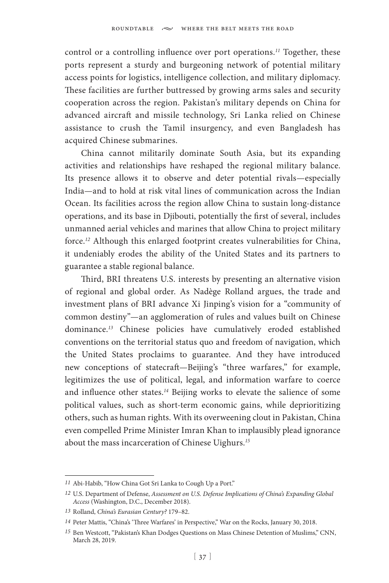control or a controlling influence over port operations.*<sup>11</sup>* Together, these ports represent a sturdy and burgeoning network of potential military access points for logistics, intelligence collection, and military diplomacy. These facilities are further buttressed by growing arms sales and security cooperation across the region. Pakistan's military depends on China for advanced aircraft and missile technology, Sri Lanka relied on Chinese assistance to crush the Tamil insurgency, and even Bangladesh has acquired Chinese submarines.

China cannot militarily dominate South Asia, but its expanding activities and relationships have reshaped the regional military balance. Its presence allows it to observe and deter potential rivals—especially India—and to hold at risk vital lines of communication across the Indian Ocean. Its facilities across the region allow China to sustain long-distance operations, and its base in Djibouti, potentially the first of several, includes unmanned aerial vehicles and marines that allow China to project military force.*<sup>12</sup>* Although this enlarged footprint creates vulnerabilities for China, it undeniably erodes the ability of the United States and its partners to guarantee a stable regional balance.

Third, BRI threatens U.S. interests by presenting an alternative vision of regional and global order. As Nadège Rolland argues, the trade and investment plans of BRI advance Xi Jinping's vision for a "community of common destiny"—an agglomeration of rules and values built on Chinese dominance.*<sup>13</sup>* Chinese policies have cumulatively eroded established conventions on the territorial status quo and freedom of navigation, which the United States proclaims to guarantee. And they have introduced new conceptions of statecraft—Beijing's "three warfares," for example, legitimizes the use of political, legal, and information warfare to coerce and influence other states.*<sup>14</sup>* Beijing works to elevate the salience of some political values, such as short-term economic gains, while deprioritizing others, such as human rights. With its overweening clout in Pakistan, China even compelled Prime Minister Imran Khan to implausibly plead ignorance about the mass incarceration of Chinese Uighurs.*<sup>15</sup>*

*<sup>11</sup>* Abi-Habib, "How China Got Sri Lanka to Cough Up a Port."

*<sup>12</sup>* U.S. Department of Defense, *Assessment on U.S. Defense Implications of China's Expanding Global Access* (Washington, D.C., December 2018).

*<sup>13</sup>* Rolland, *China's Eurasian Century?* 179–82.

*<sup>14</sup>* Peter Mattis, "China's 'Three Warfares' in Perspective," War on the Rocks, January 30, 2018.

*<sup>15</sup>* Ben Westcott, "Pakistan's Khan Dodges Questions on Mass Chinese Detention of Muslims," CNN, March 28, 2019.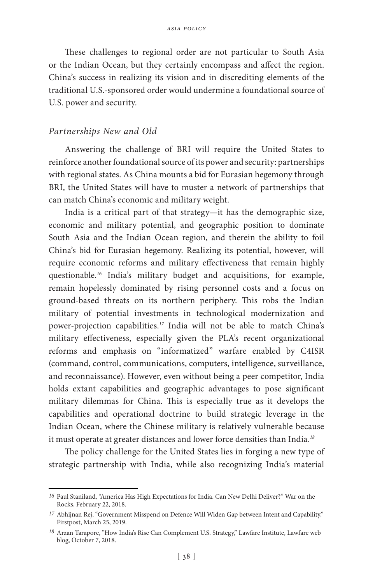These challenges to regional order are not particular to South Asia or the Indian Ocean, but they certainly encompass and affect the region. China's success in realizing its vision and in discrediting elements of the traditional U.S.-sponsored order would undermine a foundational source of U.S. power and security.

#### *Partnerships New and Old*

Answering the challenge of BRI will require the United States to reinforce another foundational source of its power and security: partnerships with regional states. As China mounts a bid for Eurasian hegemony through BRI, the United States will have to muster a network of partnerships that can match China's economic and military weight.

India is a critical part of that strategy—it has the demographic size, economic and military potential, and geographic position to dominate South Asia and the Indian Ocean region, and therein the ability to foil China's bid for Eurasian hegemony. Realizing its potential, however, will require economic reforms and military effectiveness that remain highly questionable.*<sup>16</sup>* India's military budget and acquisitions, for example, remain hopelessly dominated by rising personnel costs and a focus on ground-based threats on its northern periphery. This robs the Indian military of potential investments in technological modernization and power-projection capabilities.*<sup>17</sup>* India will not be able to match China's military effectiveness, especially given the PLA's recent organizational reforms and emphasis on "informatized" warfare enabled by C4ISR (command, control, communications, computers, intelligence, surveillance, and reconnaissance). However, even without being a peer competitor, India holds extant capabilities and geographic advantages to pose significant military dilemmas for China. This is especially true as it develops the capabilities and operational doctrine to build strategic leverage in the Indian Ocean, where the Chinese military is relatively vulnerable because it must operate at greater distances and lower force densities than India.*<sup>18</sup>*

The policy challenge for the United States lies in forging a new type of strategic partnership with India, while also recognizing India's material

*<sup>16</sup>* Paul Staniland, "America Has High Expectations for India. Can New Delhi Deliver?" War on the Rocks, February 22, 2018.

*<sup>17</sup>* Abhijnan Rej, "Government Misspend on Defence Will Widen Gap between Intent and Capability," Firstpost, March 25, 2019.

*<sup>18</sup>* Arzan Tarapore, "How India's Rise Can Complement U.S. Strategy," Lawfare Institute, Lawfare web blog, October 7, 2018.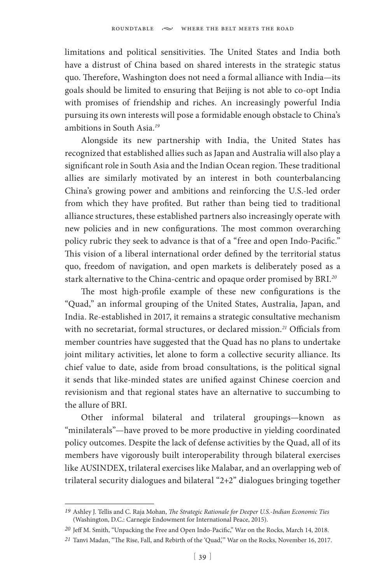limitations and political sensitivities. The United States and India both have a distrust of China based on shared interests in the strategic status quo. Therefore, Washington does not need a formal alliance with India—its goals should be limited to ensuring that Beijing is not able to co-opt India with promises of friendship and riches. An increasingly powerful India pursuing its own interests will pose a formidable enough obstacle to China's ambitions in South Asia.*<sup>19</sup>*

Alongside its new partnership with India, the United States has recognized that established allies such as Japan and Australia will also play a significant role in South Asia and the Indian Ocean region. These traditional allies are similarly motivated by an interest in both counterbalancing China's growing power and ambitions and reinforcing the U.S.-led order from which they have profited. But rather than being tied to traditional alliance structures, these established partners also increasingly operate with new policies and in new configurations. The most common overarching policy rubric they seek to advance is that of a "free and open Indo-Pacific." This vision of a liberal international order defined by the territorial status quo, freedom of navigation, and open markets is deliberately posed as a stark alternative to the China-centric and opaque order promised by BRI.*<sup>20</sup>*

The most high-profile example of these new configurations is the "Quad," an informal grouping of the United States, Australia, Japan, and India. Re-established in 2017, it remains a strategic consultative mechanism with no secretariat, formal structures, or declared mission.*<sup>21</sup>* Officials from member countries have suggested that the Quad has no plans to undertake joint military activities, let alone to form a collective security alliance. Its chief value to date, aside from broad consultations, is the political signal it sends that like-minded states are unified against Chinese coercion and revisionism and that regional states have an alternative to succumbing to the allure of BRI.

Other informal bilateral and trilateral groupings—known as "minilaterals"—have proved to be more productive in yielding coordinated policy outcomes. Despite the lack of defense activities by the Quad, all of its members have vigorously built interoperability through bilateral exercises like AUSINDEX, trilateral exercises like Malabar, and an overlapping web of trilateral security dialogues and bilateral "2+2" dialogues bringing together

*<sup>19</sup>* Ashley J. Tellis and C. Raja Mohan, *The Strategic Rationale for Deeper U.S.-Indian Economic Ties*  (Washington, D.C.: Carnegie Endowment for International Peace, 2015).

*<sup>20</sup>* Jeff M. Smith, "Unpacking the Free and Open Indo-Pacific," War on the Rocks, March 14, 2018.

*<sup>21</sup>* Tanvi Madan, "The Rise, Fall, and Rebirth of the 'Quad,'" War on the Rocks, November 16, 2017.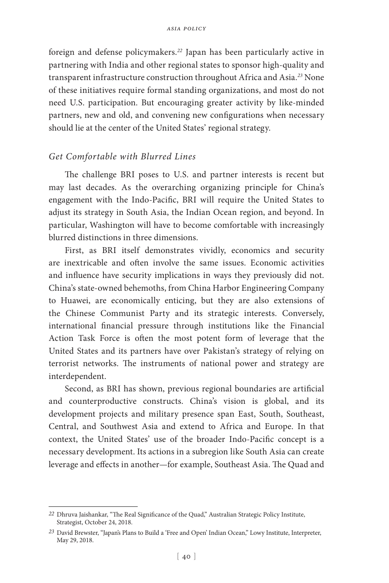foreign and defense policymakers.*<sup>22</sup>* Japan has been particularly active in partnering with India and other regional states to sponsor high-quality and transparent infrastructure construction throughout Africa and Asia.*<sup>23</sup>* None of these initiatives require formal standing organizations, and most do not need U.S. participation. But encouraging greater activity by like-minded partners, new and old, and convening new configurations when necessary should lie at the center of the United States' regional strategy.

## *Get Comfortable with Blurred Lines*

The challenge BRI poses to U.S. and partner interests is recent but may last decades. As the overarching organizing principle for China's engagement with the Indo-Pacific, BRI will require the United States to adjust its strategy in South Asia, the Indian Ocean region, and beyond. In particular, Washington will have to become comfortable with increasingly blurred distinctions in three dimensions.

First, as BRI itself demonstrates vividly, economics and security are inextricable and often involve the same issues. Economic activities and influence have security implications in ways they previously did not. China's state-owned behemoths, from China Harbor Engineering Company to Huawei, are economically enticing, but they are also extensions of the Chinese Communist Party and its strategic interests. Conversely, international financial pressure through institutions like the Financial Action Task Force is often the most potent form of leverage that the United States and its partners have over Pakistan's strategy of relying on terrorist networks. The instruments of national power and strategy are interdependent.

Second, as BRI has shown, previous regional boundaries are artificial and counterproductive constructs. China's vision is global, and its development projects and military presence span East, South, Southeast, Central, and Southwest Asia and extend to Africa and Europe. In that context, the United States' use of the broader Indo-Pacific concept is a necessary development. Its actions in a subregion like South Asia can create leverage and effects in another—for example, Southeast Asia. The Quad and

*<sup>22</sup>* Dhruva Jaishankar, "The Real Significance of the Quad," Australian Strategic Policy Institute, Strategist, October 24, 2018.

*<sup>23</sup>* David Brewster, "Japan's Plans to Build a 'Free and Open' Indian Ocean," Lowy Institute, Interpreter, May 29, 2018.